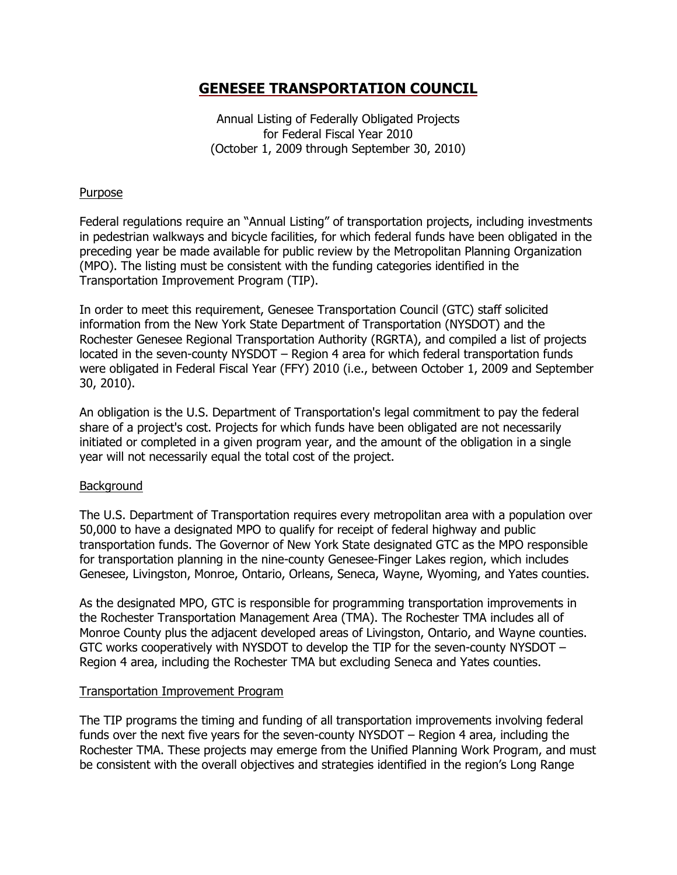Annual Listing of Federally Obligated Projects for Federal Fiscal Year 2010 (October 1, 2009 through September 30, 2010)

# **Purpose**

Federal regulations require an "Annual Listing" of transportation projects, including investments in pedestrian walkways and bicycle facilities, for which federal funds have been obligated in the preceding year be made available for public review by the Metropolitan Planning Organization (MPO). The listing must be consistent with the funding categories identified in the Transportation Improvement Program (TIP).

In order to meet this requirement, Genesee Transportation Council (GTC) staff solicited information from the New York State Department of Transportation (NYSDOT) and the Rochester Genesee Regional Transportation Authority (RGRTA), and compiled a list of projects located in the seven-county NYSDOT – Region 4 area for which federal transportation funds were obligated in Federal Fiscal Year (FFY) 2010 (i.e., between October 1, 2009 and September 30, 2010).

An obligation is the U.S. Department of Transportation's legal commitment to pay the federal share of a project's cost. Projects for which funds have been obligated are not necessarily initiated or completed in a given program year, and the amount of the obligation in a single year will not necessarily equal the total cost of the project.

# Background

The U.S. Department of Transportation requires every metropolitan area with a population over 50,000 to have a designated MPO to qualify for receipt of federal highway and public transportation funds. The Governor of New York State designated GTC as the MPO responsible for transportation planning in the nine-county Genesee-Finger Lakes region, which includes Genesee, Livingston, Monroe, Ontario, Orleans, Seneca, Wayne, Wyoming, and Yates counties.

As the designated MPO, GTC is responsible for programming transportation improvements in the Rochester Transportation Management Area (TMA). The Rochester TMA includes all of Monroe County plus the adjacent developed areas of Livingston, Ontario, and Wayne counties. GTC works cooperatively with NYSDOT to develop the TIP for the seven-county NYSDOT – Region 4 area, including the Rochester TMA but excluding Seneca and Yates counties.

# Transportation Improvement Program

The TIP programs the timing and funding of all transportation improvements involving federal funds over the next five years for the seven-county NYSDOT – Region 4 area, including the Rochester TMA. These projects may emerge from the Unified Planning Work Program, and must be consistent with the overall objectives and strategies identified in the region's Long Range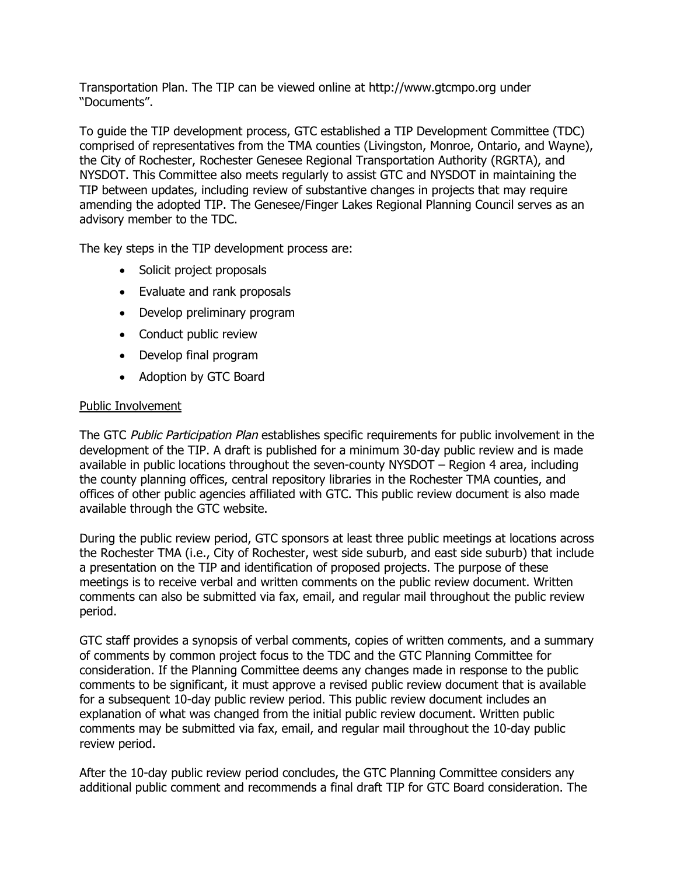Transportation Plan. The TIP can be viewed online at http://www.gtcmpo.org under "Documents".

To guide the TIP development process, GTC established a TIP Development Committee (TDC) comprised of representatives from the TMA counties (Livingston, Monroe, Ontario, and Wayne), the City of Rochester, Rochester Genesee Regional Transportation Authority (RGRTA), and NYSDOT. This Committee also meets regularly to assist GTC and NYSDOT in maintaining the TIP between updates, including review of substantive changes in projects that may require amending the adopted TIP. The Genesee/Finger Lakes Regional Planning Council serves as an advisory member to the TDC.

The key steps in the TIP development process are:

- Solicit project proposals
- Evaluate and rank proposals
- Develop preliminary program
- Conduct public review
- Develop final program
- Adoption by GTC Board

# Public Involvement

The GTC Public Participation Plan establishes specific requirements for public involvement in the development of the TIP. A draft is published for a minimum 30-day public review and is made available in public locations throughout the seven-county NYSDOT – Region 4 area, including the county planning offices, central repository libraries in the Rochester TMA counties, and offices of other public agencies affiliated with GTC. This public review document is also made available through the GTC website.

During the public review period, GTC sponsors at least three public meetings at locations across the Rochester TMA (i.e., City of Rochester, west side suburb, and east side suburb) that include a presentation on the TIP and identification of proposed projects. The purpose of these meetings is to receive verbal and written comments on the public review document. Written comments can also be submitted via fax, email, and regular mail throughout the public review period.

GTC staff provides a synopsis of verbal comments, copies of written comments, and a summary of comments by common project focus to the TDC and the GTC Planning Committee for consideration. If the Planning Committee deems any changes made in response to the public comments to be significant, it must approve a revised public review document that is available for a subsequent 10-day public review period. This public review document includes an explanation of what was changed from the initial public review document. Written public comments may be submitted via fax, email, and regular mail throughout the 10-day public review period.

After the 10-day public review period concludes, the GTC Planning Committee considers any additional public comment and recommends a final draft TIP for GTC Board consideration. The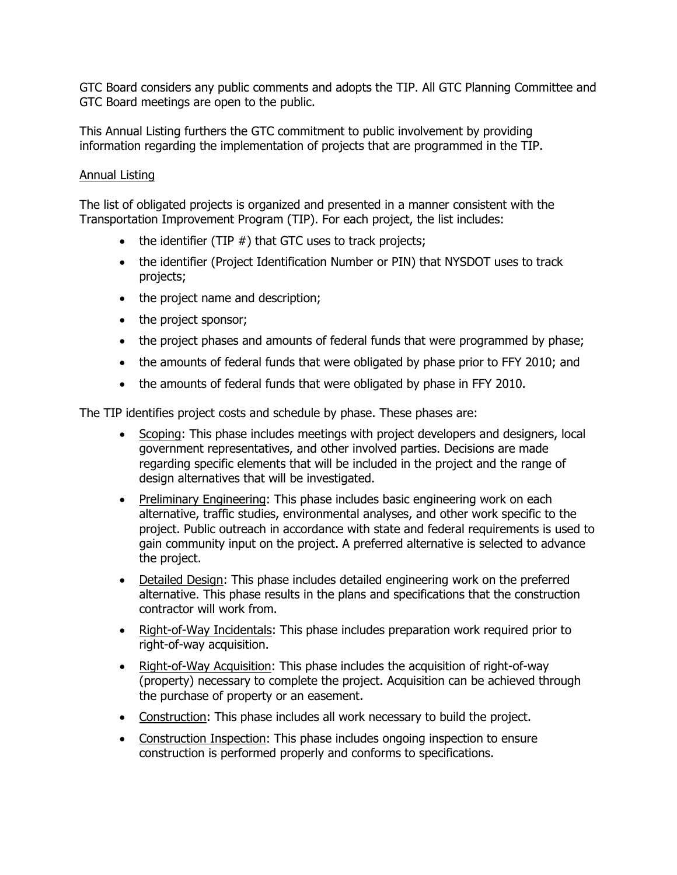GTC Board considers any public comments and adopts the TIP. All GTC Planning Committee and GTC Board meetings are open to the public.

This Annual Listing furthers the GTC commitment to public involvement by providing information regarding the implementation of projects that are programmed in the TIP.

# Annual Listing

The list of obligated projects is organized and presented in a manner consistent with the Transportation Improvement Program (TIP). For each project, the list includes:

- $\bullet$  the identifier (TIP  $#$ ) that GTC uses to track projects;
- the identifier (Project Identification Number or PIN) that NYSDOT uses to track projects;
- the project name and description;
- the project sponsor;
- the project phases and amounts of federal funds that were programmed by phase;
- the amounts of federal funds that were obligated by phase prior to FFY 2010; and
- the amounts of federal funds that were obligated by phase in FFY 2010.

The TIP identifies project costs and schedule by phase. These phases are:

- Scoping: This phase includes meetings with project developers and designers, local government representatives, and other involved parties. Decisions are made regarding specific elements that will be included in the project and the range of design alternatives that will be investigated.
- Preliminary Engineering: This phase includes basic engineering work on each alternative, traffic studies, environmental analyses, and other work specific to the project. Public outreach in accordance with state and federal requirements is used to gain community input on the project. A preferred alternative is selected to advance the project.
- Detailed Design: This phase includes detailed engineering work on the preferred alternative. This phase results in the plans and specifications that the construction contractor will work from.
- Right-of-Way Incidentals: This phase includes preparation work required prior to right-of-way acquisition.
- Right-of-Way Acquisition: This phase includes the acquisition of right-of-way (property) necessary to complete the project. Acquisition can be achieved through the purchase of property or an easement.
- Construction: This phase includes all work necessary to build the project.
- Construction Inspection: This phase includes ongoing inspection to ensure construction is performed properly and conforms to specifications.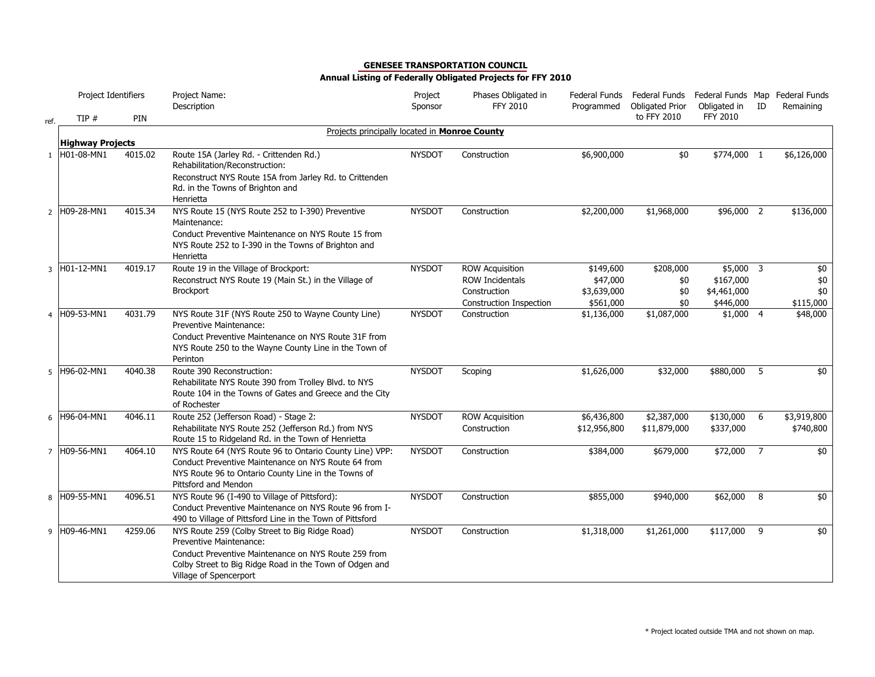|      | Project Identifiers     |         | Project Name:<br>Description                                                                                            | Project<br>Sponsor | Phases Obligated in<br><b>FFY 2010</b> | Federal Funds<br>Programmed | Federal Funds Federal Funds Map Federal Funds<br><b>Obligated Prior</b> | Obligated in    | ID             | Remaining   |
|------|-------------------------|---------|-------------------------------------------------------------------------------------------------------------------------|--------------------|----------------------------------------|-----------------------------|-------------------------------------------------------------------------|-----------------|----------------|-------------|
| ref. | TIP#                    | PIN     |                                                                                                                         |                    |                                        |                             | to FFY 2010                                                             | <b>FFY 2010</b> |                |             |
|      |                         |         | Projects principally located in Monroe County                                                                           |                    |                                        |                             |                                                                         |                 |                |             |
|      | <b>Highway Projects</b> |         |                                                                                                                         |                    |                                        |                             |                                                                         |                 |                |             |
|      | 1 H01-08-MN1            | 4015.02 | Route 15A (Jarley Rd. - Crittenden Rd.)<br>Rehabilitation/Reconstruction:                                               | <b>NYSDOT</b>      | Construction                           | \$6,900,000                 | \$0                                                                     | \$774,000 1     |                | \$6,126,000 |
|      |                         |         | Reconstruct NYS Route 15A from Jarley Rd. to Crittenden<br>Rd. in the Towns of Brighton and<br>Henrietta                |                    |                                        |                             |                                                                         |                 |                |             |
|      | 2 H09-28-MN1            | 4015.34 | NYS Route 15 (NYS Route 252 to I-390) Preventive<br>Maintenance:                                                        | <b>NYSDOT</b>      | Construction                           | \$2,200,000                 | \$1,968,000                                                             | \$96,000 2      |                | \$136,000   |
|      |                         |         | Conduct Preventive Maintenance on NYS Route 15 from<br>NYS Route 252 to I-390 in the Towns of Brighton and<br>Henrietta |                    |                                        |                             |                                                                         |                 |                |             |
| 3    | H01-12-MN1              | 4019.17 | Route 19 in the Village of Brockport:                                                                                   | <b>NYSDOT</b>      | <b>ROW Acquisition</b>                 | \$149,600                   | \$208,000                                                               | \$5,000 3       |                | \$0         |
|      |                         |         | Reconstruct NYS Route 19 (Main St.) in the Village of                                                                   |                    | <b>ROW Incidentals</b>                 | \$47,000                    | \$0                                                                     | \$167,000       |                | \$0         |
|      |                         |         | <b>Brockport</b>                                                                                                        |                    | Construction                           | \$3,639,000                 | \$0                                                                     | \$4,461,000     |                | \$0         |
|      |                         |         |                                                                                                                         |                    | Construction Inspection                | \$561,000                   | \$0                                                                     | \$446,000       |                | \$115,000   |
|      | 4 H09-53-MN1            | 4031.79 | NYS Route 31F (NYS Route 250 to Wayne County Line)                                                                      | <b>NYSDOT</b>      | Construction                           | \$1,136,000                 | \$1,087,000                                                             | $$1,000$ 4      |                | \$48,000    |
|      |                         |         | Preventive Maintenance:                                                                                                 |                    |                                        |                             |                                                                         |                 |                |             |
|      |                         |         | Conduct Preventive Maintenance on NYS Route 31F from                                                                    |                    |                                        |                             |                                                                         |                 |                |             |
|      |                         |         | NYS Route 250 to the Wayne County Line in the Town of                                                                   |                    |                                        |                             |                                                                         |                 |                |             |
|      |                         |         | Perinton                                                                                                                |                    |                                        |                             |                                                                         |                 |                |             |
|      | 5 H96-02-MN1            | 4040.38 | Route 390 Reconstruction:                                                                                               | <b>NYSDOT</b>      | Scoping                                | \$1,626,000                 | \$32,000                                                                | \$880,000       | $5^{\circ}$    | \$0         |
|      |                         |         | Rehabilitate NYS Route 390 from Trolley Blvd. to NYS                                                                    |                    |                                        |                             |                                                                         |                 |                |             |
|      |                         |         | Route 104 in the Towns of Gates and Greece and the City                                                                 |                    |                                        |                             |                                                                         |                 |                |             |
|      |                         |         | of Rochester                                                                                                            |                    |                                        |                             |                                                                         |                 |                |             |
|      | 6 H96-04-MN1            | 4046.11 | Route 252 (Jefferson Road) - Stage 2:                                                                                   | <b>NYSDOT</b>      | <b>ROW Acquisition</b>                 | \$6,436,800                 | \$2,387,000                                                             | \$130,000       | - 6            | \$3,919,800 |
|      |                         |         | Rehabilitate NYS Route 252 (Jefferson Rd.) from NYS                                                                     |                    | Construction                           | \$12,956,800                | \$11,879,000                                                            | \$337,000       |                | \$740,800   |
|      |                         |         | Route 15 to Ridgeland Rd. in the Town of Henrietta                                                                      |                    |                                        |                             |                                                                         |                 |                |             |
|      | 7 H09-56-MN1            | 4064.10 | NYS Route 64 (NYS Route 96 to Ontario County Line) VPP:                                                                 | <b>NYSDOT</b>      | Construction                           | \$384,000                   | \$679,000                                                               | \$72,000        | $\overline{7}$ | \$0         |
|      |                         |         | Conduct Preventive Maintenance on NYS Route 64 from                                                                     |                    |                                        |                             |                                                                         |                 |                |             |
|      |                         |         | NYS Route 96 to Ontario County Line in the Towns of                                                                     |                    |                                        |                             |                                                                         |                 |                |             |
|      |                         |         | Pittsford and Mendon                                                                                                    |                    |                                        |                             |                                                                         |                 |                |             |
|      | 8 H09-55-MN1            | 4096.51 | NYS Route 96 (I-490 to Village of Pittsford):                                                                           | <b>NYSDOT</b>      | Construction                           | \$855,000                   | \$940,000                                                               | \$62,000        | 8 <sup>8</sup> | \$0         |
|      |                         |         | Conduct Preventive Maintenance on NYS Route 96 from I-                                                                  |                    |                                        |                             |                                                                         |                 |                |             |
|      |                         |         | 490 to Village of Pittsford Line in the Town of Pittsford                                                               |                    |                                        |                             |                                                                         |                 |                |             |
|      | 9 H09-46-MN1            | 4259.06 | NYS Route 259 (Colby Street to Big Ridge Road)                                                                          | <b>NYSDOT</b>      | Construction                           | \$1,318,000                 | \$1,261,000                                                             | \$117,000 9     |                | \$0         |
|      |                         |         | <b>Preventive Maintenance:</b>                                                                                          |                    |                                        |                             |                                                                         |                 |                |             |
|      |                         |         | Conduct Preventive Maintenance on NYS Route 259 from                                                                    |                    |                                        |                             |                                                                         |                 |                |             |
|      |                         |         | Colby Street to Big Ridge Road in the Town of Odgen and                                                                 |                    |                                        |                             |                                                                         |                 |                |             |
|      |                         |         | Village of Spencerport                                                                                                  |                    |                                        |                             |                                                                         |                 |                |             |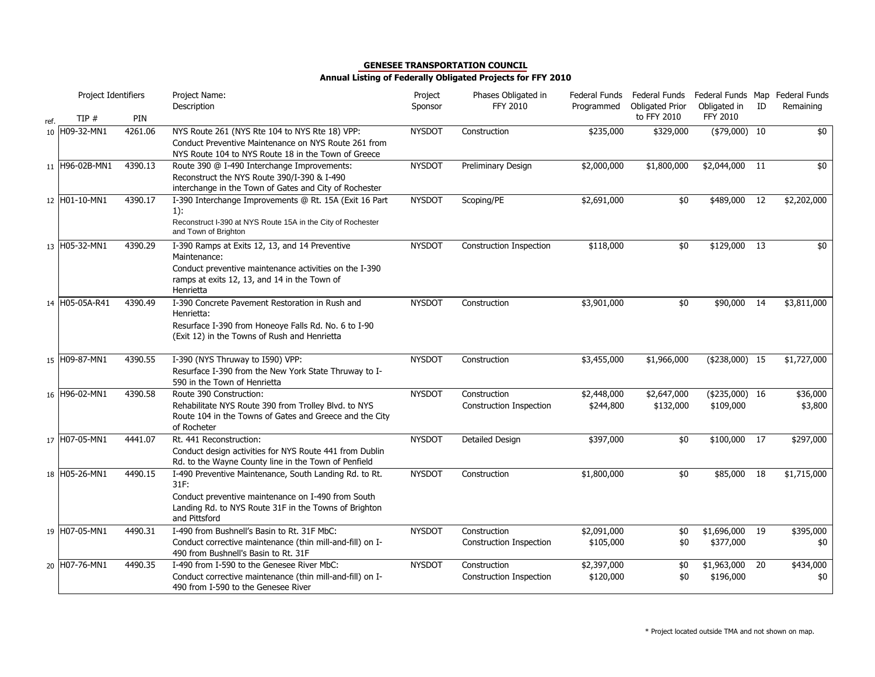|      | Project Identifiers |         | Project Name:<br>Description                                                                                                                                                                   | Project<br>Sponsor | Phases Obligated in<br><b>FFY 2010</b>  | Federal Funds<br>Programmed | Federal Funds<br><b>Obligated Prior</b> | Federal Funds Map Federal Funds<br>Obligated in | ID | Remaining           |
|------|---------------------|---------|------------------------------------------------------------------------------------------------------------------------------------------------------------------------------------------------|--------------------|-----------------------------------------|-----------------------------|-----------------------------------------|-------------------------------------------------|----|---------------------|
| ref. | TIP#                | PIN     |                                                                                                                                                                                                |                    |                                         |                             | to FFY 2010                             | <b>FFY 2010</b>                                 |    |                     |
|      | 10 H09-32-MN1       | 4261.06 | NYS Route 261 (NYS Rte 104 to NYS Rte 18) VPP:<br>Conduct Preventive Maintenance on NYS Route 261 from<br>NYS Route 104 to NYS Route 18 in the Town of Greece                                  | <b>NYSDOT</b>      | Construction                            | \$235,000                   | \$329,000                               | $($79,000)$ 10                                  |    | \$0                 |
|      | 11 H96-02B-MN1      | 4390.13 | Route 390 @ I-490 Interchange Improvements:<br>Reconstruct the NYS Route 390/I-390 & I-490<br>interchange in the Town of Gates and City of Rochester                                           | <b>NYSDOT</b>      | Preliminary Design                      | \$2,000,000                 | \$1,800,000                             | \$2,044,000                                     | 11 | \$0                 |
|      | 12 H01-10-MN1       | 4390.17 | I-390 Interchange Improvements @ Rt. 15A (Exit 16 Part<br>$1)$ :<br>Reconstruct I-390 at NYS Route 15A in the City of Rochester<br>and Town of Brighton                                        | <b>NYSDOT</b>      | Scoping/PE                              | \$2,691,000                 | \$0                                     | \$489,000                                       | 12 | \$2,202,000         |
|      | 13 H05-32-MN1       | 4390.29 | I-390 Ramps at Exits 12, 13, and 14 Preventive<br>Maintenance:<br>Conduct preventive maintenance activities on the I-390<br>ramps at exits 12, 13, and 14 in the Town of<br>Henrietta          | <b>NYSDOT</b>      | Construction Inspection                 | \$118,000                   | \$0                                     | \$129,000                                       | 13 | \$0                 |
|      | 14 H05-05A-R41      | 4390.49 | I-390 Concrete Pavement Restoration in Rush and<br>Henrietta:<br>Resurface I-390 from Honeove Falls Rd. No. 6 to I-90<br>(Exit 12) in the Towns of Rush and Henrietta                          | <b>NYSDOT</b>      | Construction                            | \$3,901,000                 | \$0                                     | \$90,000                                        | 14 | \$3,811,000         |
|      | 15 H09-87-MN1       | 4390.55 | I-390 (NYS Thruway to I590) VPP:<br>Resurface I-390 from the New York State Thruway to I-<br>590 in the Town of Henrietta                                                                      | <b>NYSDOT</b>      | Construction                            | \$3,455,000                 | \$1,966,000                             | $($238,000)$ 15                                 |    | \$1,727,000         |
|      | 16 H96-02-MN1       | 4390.58 | Route 390 Construction:<br>Rehabilitate NYS Route 390 from Trolley Blvd. to NYS<br>Route 104 in the Towns of Gates and Greece and the City<br>of Rocheter                                      | <b>NYSDOT</b>      | Construction<br>Construction Inspection | \$2,448,000<br>\$244,800    | \$2,647,000<br>\$132,000                | $(4235,000)$ 16<br>\$109,000                    |    | \$36,000<br>\$3,800 |
|      | 17 H07-05-MN1       | 4441.07 | Rt. 441 Reconstruction:<br>Conduct design activities for NYS Route 441 from Dublin<br>Rd. to the Wayne County line in the Town of Penfield                                                     | <b>NYSDOT</b>      | Detailed Design                         | \$397,000                   | \$0                                     | \$100,000 17                                    |    | \$297,000           |
|      | 18 H05-26-MN1       | 4490.15 | I-490 Preventive Maintenance, South Landing Rd. to Rt.<br>31F:<br>Conduct preventive maintenance on I-490 from South<br>Landing Rd. to NYS Route 31F in the Towns of Brighton<br>and Pittsford | <b>NYSDOT</b>      | Construction                            | \$1,800,000                 | \$0                                     | \$85,000                                        | 18 | \$1,715,000         |
|      | 19 H07-05-MN1       | 4490.31 | I-490 from Bushnell's Basin to Rt. 31F MbC:<br>Conduct corrective maintenance (thin mill-and-fill) on I-<br>490 from Bushnell's Basin to Rt. 31F                                               | <b>NYSDOT</b>      | Construction<br>Construction Inspection | \$2,091,000<br>\$105,000    | \$0<br>\$0                              | $$1,696,000$ 19<br>\$377,000                    |    | \$395,000<br>\$0    |
|      | 20 H07-76-MN1       | 4490.35 | I-490 from I-590 to the Genesee River MbC:<br>Conduct corrective maintenance (thin mill-and-fill) on I-<br>490 from I-590 to the Genesee River                                                 | <b>NYSDOT</b>      | Construction<br>Construction Inspection | \$2,397,000<br>\$120,000    | \$0<br>\$0                              | \$1,963,000<br>\$196,000                        | 20 | \$434,000<br>\$0    |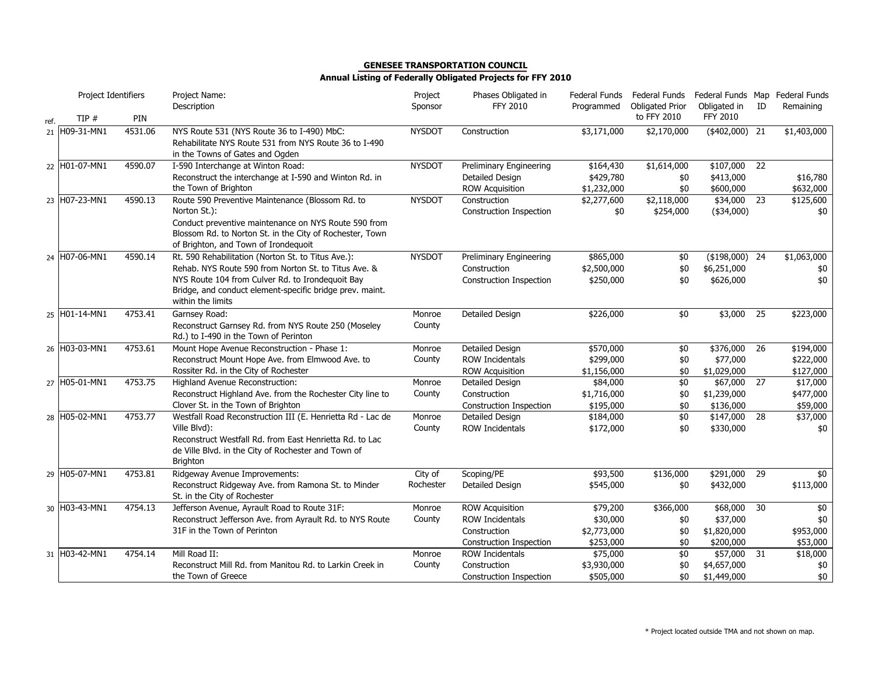|      | Project Identifiers |         | Project Name:<br>Description                                                                                                                                                                                                                    | Project<br>Sponsor   | Phases Obligated in<br><b>FFY 2010</b>                                                      | Federal Funds<br>Programmed                      | Federal Funds<br><b>Obligated Prior</b> | Federal Funds Map Federal Funds<br>Obligated in  | ID | Remaining                           |
|------|---------------------|---------|-------------------------------------------------------------------------------------------------------------------------------------------------------------------------------------------------------------------------------------------------|----------------------|---------------------------------------------------------------------------------------------|--------------------------------------------------|-----------------------------------------|--------------------------------------------------|----|-------------------------------------|
| ref. | TIP #               | PIN     |                                                                                                                                                                                                                                                 |                      |                                                                                             |                                                  | to FFY 2010                             | FFY 2010                                         |    |                                     |
| 21   | H09-31-MN1          | 4531.06 | NYS Route 531 (NYS Route 36 to I-490) MbC:<br>Rehabilitate NYS Route 531 from NYS Route 36 to I-490<br>in the Towns of Gates and Ogden                                                                                                          | <b>NYSDOT</b>        | Construction                                                                                | \$3,171,000                                      | \$2,170,000                             | $(*402,000)$ 21                                  |    | \$1,403,000                         |
|      | 22 H01-07-MN1       | 4590.07 | I-590 Interchange at Winton Road:<br>Reconstruct the interchange at I-590 and Winton Rd. in<br>the Town of Brighton                                                                                                                             | <b>NYSDOT</b>        | Preliminary Engineering<br>Detailed Design<br><b>ROW Acquisition</b>                        | \$164,430<br>\$429,780<br>\$1,232,000            | \$1,614,000<br>\$0<br>\$0               | \$107,000 22<br>\$413,000<br>\$600,000           |    | \$16,780<br>\$632,000               |
|      | 23 H07-23-MN1       | 4590.13 | Route 590 Preventive Maintenance (Blossom Rd. to<br>Norton St.):<br>Conduct preventive maintenance on NYS Route 590 from<br>Blossom Rd. to Norton St. in the City of Rochester, Town<br>of Brighton, and Town of Irondequoit                    | <b>NYSDOT</b>        | Construction<br>Construction Inspection                                                     | \$2,277,600<br>\$0                               | \$2,118,000<br>\$254,000                | \$34,000<br>$(*34,000)$                          | 23 | \$125,600<br>\$0                    |
|      | 24 H07-06-MN1       | 4590.14 | Rt. 590 Rehabilitation (Norton St. to Titus Ave.):<br>Rehab. NYS Route 590 from Norton St. to Titus Ave. &<br>NYS Route 104 from Culver Rd. to Irondequoit Bay<br>Bridge, and conduct element-specific bridge prev. maint.<br>within the limits | <b>NYSDOT</b>        | Preliminary Engineering<br>Construction<br>Construction Inspection                          | \$865,000<br>\$2,500,000<br>\$250,000            | \$0<br>\$0<br>\$0                       | $($ \$198,000) 24<br>\$6,251,000<br>\$626,000    |    | \$1,063,000<br>\$0<br>\$0           |
|      | 25 H01-14-MN1       | 4753.41 | Garnsey Road:<br>Reconstruct Garnsey Rd. from NYS Route 250 (Moseley<br>Rd.) to I-490 in the Town of Perinton                                                                                                                                   | Monroe<br>County     | Detailed Design                                                                             | \$226,000                                        | \$0                                     | \$3,000                                          | 25 | \$223,000                           |
|      | 26 H03-03-MN1       | 4753.61 | Mount Hope Avenue Reconstruction - Phase 1:<br>Reconstruct Mount Hope Ave. from Elmwood Ave. to<br>Rossiter Rd. in the City of Rochester                                                                                                        | Monroe<br>County     | Detailed Design<br><b>ROW Incidentals</b><br><b>ROW Acquisition</b>                         | \$570,000<br>\$299,000<br>\$1,156,000            | \$0<br>\$0<br>\$0                       | \$376,000 26<br>\$77,000<br>\$1,029,000          |    | \$194,000<br>\$222,000<br>\$127,000 |
|      | 27 H05-01-MN1       | 4753.75 | Highland Avenue Reconstruction:<br>Reconstruct Highland Ave. from the Rochester City line to<br>Clover St. in the Town of Brighton                                                                                                              | Monroe<br>County     | Detailed Design<br>Construction<br>Construction Inspection                                  | \$84,000<br>\$1,716,000<br>\$195,000             | \$0<br>\$0<br>\$0                       | \$67,000<br>\$1,239,000<br>\$136,000             | 27 | \$17,000<br>\$477,000<br>\$59,000   |
|      | 28 H05-02-MN1       | 4753.77 | Westfall Road Reconstruction III (E. Henrietta Rd - Lac de<br>Ville Blvd):<br>Reconstruct Westfall Rd. from East Henrietta Rd. to Lac<br>de Ville Blvd. in the City of Rochester and Town of<br><b>Brighton</b>                                 | Monroe<br>County     | Detailed Design<br><b>ROW Incidentals</b>                                                   | \$184,000<br>\$172,000                           | $\overline{60}$<br>\$0                  | \$147,000 28<br>\$330,000                        |    | \$37,000<br>\$0                     |
|      | 29 H05-07-MN1       | 4753.81 | Ridgeway Avenue Improvements:<br>Reconstruct Ridgeway Ave. from Ramona St. to Minder<br>St. in the City of Rochester                                                                                                                            | City of<br>Rochester | Scoping/PE<br>Detailed Design                                                               | \$93,500<br>\$545,000                            | \$136,000<br>\$0                        | \$291,000<br>\$432,000                           | 29 | \$0<br>\$113,000                    |
|      | 30 H03-43-MN1       | 4754.13 | Jefferson Avenue, Ayrault Road to Route 31F:<br>Reconstruct Jefferson Ave. from Ayrault Rd. to NYS Route<br>31F in the Town of Perinton                                                                                                         | Monroe<br>County     | <b>ROW Acquisition</b><br><b>ROW Incidentals</b><br>Construction<br>Construction Inspection | \$79,200<br>\$30,000<br>\$2,773,000<br>\$253,000 | \$366,000<br>\$0<br>\$0<br>\$0          | \$68,000<br>\$37,000<br>\$1,820,000<br>\$200,000 | 30 | \$0<br>\$0<br>\$953,000<br>\$53,000 |
|      | 31 H03-42-MN1       | 4754.14 | Mill Road II:<br>Reconstruct Mill Rd. from Manitou Rd. to Larkin Creek in<br>the Town of Greece                                                                                                                                                 | Monroe<br>County     | <b>ROW Incidentals</b><br>Construction<br>Construction Inspection                           | \$75,000<br>\$3,930,000<br>\$505,000             | $$0$<br>\$0<br>\$0                      | \$57,000<br>\$4,657,000<br>\$1,449,000           | 31 | \$18,000<br>\$0<br>\$0\$            |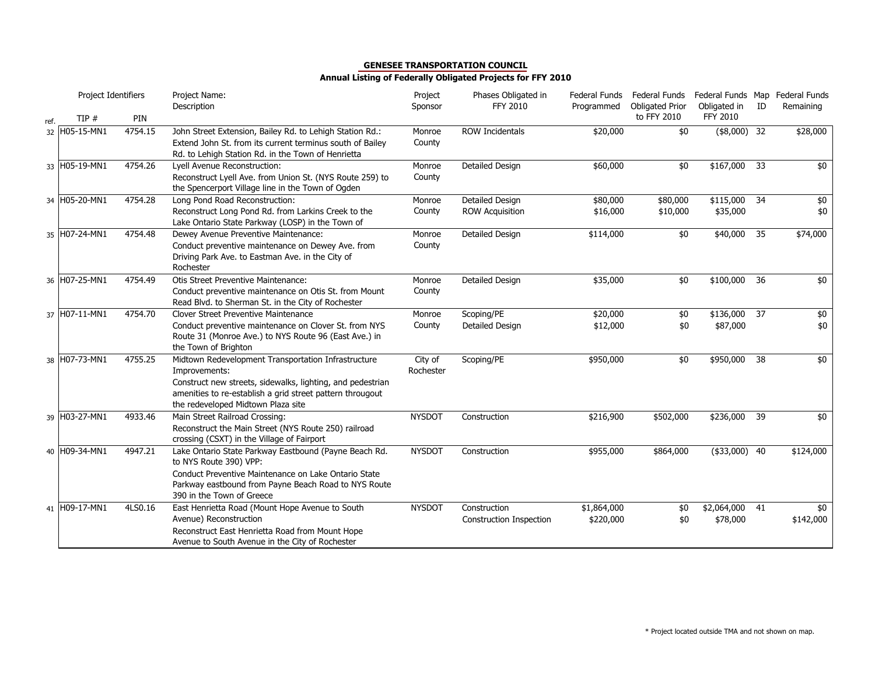|      | Project Identifiers |         | Project Name:<br>Description                                                                                                                                                                                                          | Project<br>Sponsor   | Phases Obligated in<br><b>FFY 2010</b>    | Federal Funds<br>Programmed | Federal Funds<br><b>Obligated Prior</b> | Federal Funds Map Federal Funds<br>Obligated in | ID | Remaining              |
|------|---------------------|---------|---------------------------------------------------------------------------------------------------------------------------------------------------------------------------------------------------------------------------------------|----------------------|-------------------------------------------|-----------------------------|-----------------------------------------|-------------------------------------------------|----|------------------------|
| ref. | TIP#                | PIN     |                                                                                                                                                                                                                                       |                      |                                           |                             | to FFY 2010                             | <b>FFY 2010</b>                                 |    |                        |
|      | 32 H05-15-MN1       | 4754.15 | John Street Extension, Bailey Rd. to Lehigh Station Rd.:<br>Extend John St. from its current terminus south of Bailey<br>Rd. to Lehigh Station Rd. in the Town of Henrietta                                                           | Monroe<br>County     | <b>ROW Incidentals</b>                    | \$20,000                    | \$0                                     | $($8,000)$ 32                                   |    | \$28,000               |
|      | 33 H05-19-MN1       | 4754.26 | Lyell Avenue Reconstruction:<br>Reconstruct Lyell Ave. from Union St. (NYS Route 259) to<br>the Spencerport Village line in the Town of Ogden                                                                                         | Monroe<br>County     | Detailed Design                           | \$60,000                    | \$0                                     | \$167,000                                       | 33 | \$0                    |
|      | 34 H05-20-MN1       | 4754.28 | Long Pond Road Reconstruction:<br>Reconstruct Long Pond Rd. from Larkins Creek to the<br>Lake Ontario State Parkway (LOSP) in the Town of                                                                                             | Monroe<br>County     | Detailed Design<br><b>ROW Acquisition</b> | \$80,000<br>\$16,000        | \$80,000<br>\$10,000                    | $$115,000$ 34<br>\$35,000                       |    | \$0<br>\$0             |
|      | 35 H07-24-MN1       | 4754.48 | Dewey Avenue Preventive Maintenance:<br>Conduct preventive maintenance on Dewey Ave. from<br>Driving Park Ave. to Eastman Ave. in the City of<br>Rochester                                                                            | Monroe<br>County     | <b>Detailed Design</b>                    | \$114,000                   | \$0                                     | \$40,000                                        | 35 | \$74,000               |
|      | 36 H07-25-MN1       | 4754.49 | Otis Street Preventive Maintenance:<br>Conduct preventive maintenance on Otis St. from Mount<br>Read Blvd. to Sherman St. in the City of Rochester                                                                                    | Monroe<br>County     | Detailed Design                           | \$35,000                    | \$0                                     | \$100,000 36                                    |    | \$0                    |
|      | 37 H07-11-MN1       | 4754.70 | <b>Clover Street Preventive Maintenance</b><br>Conduct preventive maintenance on Clover St. from NYS<br>Route 31 (Monroe Ave.) to NYS Route 96 (East Ave.) in<br>the Town of Brighton                                                 | Monroe<br>County     | Scoping/PE<br>Detailed Design             | \$20,000<br>\$12,000        | $$0$<br>\$0                             | \$136,000 37<br>\$87,000                        |    | $\overline{60}$<br>\$0 |
|      | 38 H07-73-MN1       | 4755.25 | Midtown Redevelopment Transportation Infrastructure<br>Improvements:<br>Construct new streets, sidewalks, lighting, and pedestrian<br>amenities to re-establish a grid street pattern througout<br>the redeveloped Midtown Plaza site | City of<br>Rochester | Scoping/PE                                | \$950,000                   | \$0                                     | \$950,000                                       | 38 | \$0                    |
|      | 39 H03-27-MN1       | 4933.46 | Main Street Railroad Crossing:<br>Reconstruct the Main Street (NYS Route 250) railroad<br>crossing (CSXT) in the Village of Fairport                                                                                                  | <b>NYSDOT</b>        | Construction                              | \$216,900                   | \$502,000                               | \$236,000 39                                    |    | \$0                    |
|      | 40 H09-34-MN1       | 4947.21 | Lake Ontario State Parkway Eastbound (Payne Beach Rd.<br>to NYS Route 390) VPP:<br>Conduct Preventive Maintenance on Lake Ontario State<br>Parkway eastbound from Payne Beach Road to NYS Route<br>390 in the Town of Greece          | <b>NYSDOT</b>        | Construction                              | \$955,000                   | \$864,000                               | $(*33,000)$ 40                                  |    | \$124,000              |
|      | 41 H09-17-MN1       | 4LS0.16 | East Henrietta Road (Mount Hope Avenue to South<br>Avenue) Reconstruction<br>Reconstruct East Henrietta Road from Mount Hope<br>Avenue to South Avenue in the City of Rochester                                                       | <b>NYSDOT</b>        | Construction<br>Construction Inspection   | \$1,864,000<br>\$220,000    | \$0<br>\$0                              | \$2,064,000 41<br>\$78,000                      |    | \$0<br>\$142,000       |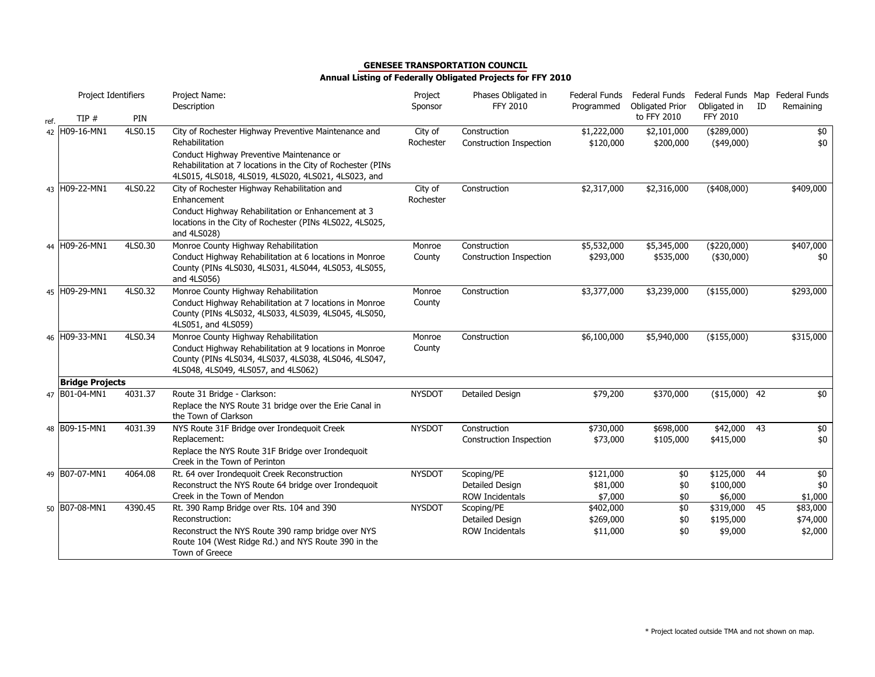|      | Project Identifiers    |         | Project Name:<br>Description                                                                                                                                                                                                               | Project<br>Sponsor   | Phases Obligated in<br>FFY 2010                         | Federal Funds<br>Programmed        | Federal Funds<br><b>Obligated Prior</b> | Federal Funds Map Federal Funds<br>Obligated in | ID | Remaining                       |
|------|------------------------|---------|--------------------------------------------------------------------------------------------------------------------------------------------------------------------------------------------------------------------------------------------|----------------------|---------------------------------------------------------|------------------------------------|-----------------------------------------|-------------------------------------------------|----|---------------------------------|
| ref. | TIP#                   | PIN     |                                                                                                                                                                                                                                            |                      |                                                         |                                    | to FFY 2010                             | <b>FFY 2010</b>                                 |    |                                 |
|      | 42 H09-16-MN1          | 4LS0.15 | City of Rochester Highway Preventive Maintenance and<br>Rehabilitation<br>Conduct Highway Preventive Maintenance or<br>Rehabilitation at 7 locations in the City of Rochester (PINs<br>4LS015, 4LS018, 4LS019, 4LS020, 4LS021, 4LS023, and | City of<br>Rochester | Construction<br>Construction Inspection                 | \$1,222,000<br>\$120,000           | \$2,101,000<br>\$200,000                | ( \$289,000)<br>$(*49,000)$                     |    | \$0<br>\$0                      |
|      | 43 H09-22-MN1          | 4LS0.22 | City of Rochester Highway Rehabilitation and<br>Enhancement<br>Conduct Highway Rehabilitation or Enhancement at 3<br>locations in the City of Rochester (PINs 4LS022, 4LS025,<br>and 4LS028)                                               | City of<br>Rochester | Construction                                            | \$2,317,000                        | \$2,316,000                             | $(*408,000)$                                    |    | \$409,000                       |
|      | 44 H09-26-MN1          | 4LS0.30 | Monroe County Highway Rehabilitation<br>Conduct Highway Rehabilitation at 6 locations in Monroe<br>County (PINs 4LS030, 4LS031, 4LS044, 4LS053, 4LS055,<br>and 4LS056)                                                                     | Monroe<br>County     | Construction<br>Construction Inspection                 | \$5,532,000<br>\$293,000           | \$5,345,000<br>\$535,000                | $(*220,000)$<br>$(*30,000)$                     |    | \$407,000<br>\$0                |
|      | 45 H09-29-MN1          | 4LS0.32 | Monroe County Highway Rehabilitation<br>Conduct Highway Rehabilitation at 7 locations in Monroe<br>County (PINs 4LS032, 4LS033, 4LS039, 4LS045, 4LS050,<br>4LS051, and 4LS059)                                                             | Monroe<br>County     | Construction                                            | \$3,377,000                        | \$3,239,000                             | (\$155,000)                                     |    | \$293,000                       |
|      | 46 H09-33-MN1          | 4LS0.34 | Monroe County Highway Rehabilitation<br>Conduct Highway Rehabilitation at 9 locations in Monroe<br>County (PINs 4LS034, 4LS037, 4LS038, 4LS046, 4LS047,<br>4LS048, 4LS049, 4LS057, and 4LS062)                                             | Monroe<br>County     | Construction                                            | \$6,100,000                        | \$5,940,000                             | $(*155,000)$                                    |    | \$315,000                       |
|      | <b>Bridge Projects</b> |         |                                                                                                                                                                                                                                            |                      |                                                         |                                    |                                         |                                                 |    |                                 |
|      | 47 B01-04-MN1          | 4031.37 | Route 31 Bridge - Clarkson:<br>Replace the NYS Route 31 bridge over the Erie Canal in<br>the Town of Clarkson                                                                                                                              | <b>NYSDOT</b>        | <b>Detailed Design</b>                                  | \$79,200                           | \$370,000                               | $($ \$15,000) 42                                |    | \$0                             |
|      | 48 B09-15-MN1          | 4031.39 | NYS Route 31F Bridge over Irondequoit Creek<br>Replacement:<br>Replace the NYS Route 31F Bridge over Irondequoit<br>Creek in the Town of Perinton                                                                                          | <b>NYSDOT</b>        | Construction<br>Construction Inspection                 | \$730,000<br>\$73,000              | \$698,000<br>\$105,000                  | \$42,000 43<br>\$415,000                        |    | \$0<br>\$0                      |
|      | 49 B07-07-MN1          | 4064.08 | Rt. 64 over Irondequoit Creek Reconstruction<br>Reconstruct the NYS Route 64 bridge over Irondequoit<br>Creek in the Town of Mendon                                                                                                        | <b>NYSDOT</b>        | Scoping/PE<br>Detailed Design<br><b>ROW Incidentals</b> | \$121,000<br>\$81,000<br>\$7,000   | \$0<br>\$0<br>\$0                       | \$125,000 44<br>\$100,000<br>\$6,000            |    | \$0<br>\$0<br>\$1,000           |
|      | 50 B07-08-MN1          | 4390.45 | Rt. 390 Ramp Bridge over Rts. 104 and 390<br>Reconstruction:<br>Reconstruct the NYS Route 390 ramp bridge over NYS<br>Route 104 (West Ridge Rd.) and NYS Route 390 in the<br>Town of Greece                                                | <b>NYSDOT</b>        | Scoping/PE<br>Detailed Design<br><b>ROW Incidentals</b> | \$402,000<br>\$269,000<br>\$11,000 | \$0<br>\$0<br>\$0                       | $$319,000$ 45<br>\$195,000<br>\$9,000           |    | \$83,000<br>\$74,000<br>\$2,000 |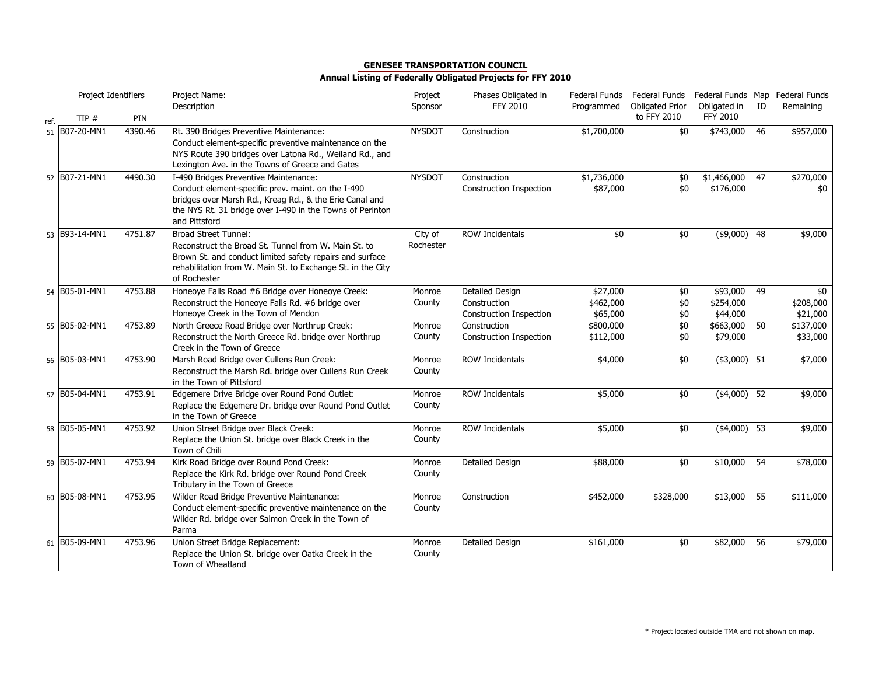|      | Project Identifiers |         | Project Name:<br>Description                                                                                                                                                                                    | Project<br>Sponsor | Phases Obligated in<br><b>FFY 2010</b> | Federal Funds<br>Programmed | Federal Funds Federal Funds Map Federal Funds<br><b>Obligated Prior</b> | Obligated in    | ID | Remaining |
|------|---------------------|---------|-----------------------------------------------------------------------------------------------------------------------------------------------------------------------------------------------------------------|--------------------|----------------------------------------|-----------------------------|-------------------------------------------------------------------------|-----------------|----|-----------|
| ref. | TIP#                | PIN     |                                                                                                                                                                                                                 |                    |                                        |                             | to FFY 2010                                                             | <b>FFY 2010</b> |    |           |
|      | 51 B07-20-MN1       | 4390.46 | Rt. 390 Bridges Preventive Maintenance:<br>Conduct element-specific preventive maintenance on the<br>NYS Route 390 bridges over Latona Rd., Weiland Rd., and<br>Lexington Ave. in the Towns of Greece and Gates | <b>NYSDOT</b>      | Construction                           | \$1,700,000                 | \$0                                                                     | \$743,000       | 46 | \$957,000 |
|      | 52 B07-21-MN1       | 4490.30 | I-490 Bridges Preventive Maintenance:                                                                                                                                                                           | <b>NYSDOT</b>      | Construction                           | \$1,736,000                 | \$0                                                                     | \$1,466,000     | 47 | \$270,000 |
|      |                     |         | Conduct element-specific prev. maint. on the I-490<br>bridges over Marsh Rd., Kreag Rd., & the Erie Canal and<br>the NYS Rt. 31 bridge over I-490 in the Towns of Perinton<br>and Pittsford                     |                    | Construction Inspection                | \$87,000                    | \$0                                                                     | \$176,000       |    | \$0       |
|      | 53 B93-14-MN1       | 4751.87 | <b>Broad Street Tunnel:</b>                                                                                                                                                                                     | City of            | ROW Incidentals                        | \$0                         | $\overline{50}$                                                         | $($ \$9,000) 48 |    | \$9,000   |
|      |                     |         | Reconstruct the Broad St. Tunnel from W. Main St. to<br>Brown St. and conduct limited safety repairs and surface<br>rehabilitation from W. Main St. to Exchange St. in the City<br>of Rochester                 | Rochester          |                                        |                             |                                                                         |                 |    |           |
|      | 54 B05-01-MN1       | 4753.88 | Honeoye Falls Road #6 Bridge over Honeoye Creek:                                                                                                                                                                | Monroe             | Detailed Design                        | \$27,000                    | \$0                                                                     | \$93,000 49     |    | \$0       |
|      |                     |         | Reconstruct the Honeoye Falls Rd. #6 bridge over                                                                                                                                                                | County             | Construction                           | \$462,000                   | \$0                                                                     | \$254,000       |    | \$208,000 |
|      |                     |         | Honeoye Creek in the Town of Mendon                                                                                                                                                                             |                    | <b>Construction Inspection</b>         | \$65,000                    | \$0                                                                     | \$44,000        |    | \$21,000  |
|      | 55 B05-02-MN1       | 4753.89 | North Greece Road Bridge over Northrup Creek:                                                                                                                                                                   | Monroe             | Construction                           | \$800,000                   | \$0                                                                     | \$663,000       | 50 | \$137,000 |
|      |                     |         | Reconstruct the North Greece Rd. bridge over Northrup<br>Creek in the Town of Greece                                                                                                                            | County             | Construction Inspection                | \$112,000                   | \$0                                                                     | \$79,000        |    | \$33,000  |
|      | 56 B05-03-MN1       | 4753.90 | Marsh Road Bridge over Cullens Run Creek:<br>Reconstruct the Marsh Rd. bridge over Cullens Run Creek<br>in the Town of Pittsford                                                                                | Monroe<br>County   | <b>ROW Incidentals</b>                 | \$4,000                     | \$0                                                                     | $($3,000)$ 51   |    | \$7,000   |
|      | 57 B05-04-MN1       | 4753.91 | Edgemere Drive Bridge over Round Pond Outlet:                                                                                                                                                                   | Monroe             | <b>ROW Incidentals</b>                 | \$5,000                     | \$0                                                                     | $(4,000)$ 52    |    | \$9,000   |
|      |                     |         | Replace the Edgemere Dr. bridge over Round Pond Outlet<br>in the Town of Greece                                                                                                                                 | County             |                                        |                             |                                                                         |                 |    |           |
|      | 58 B05-05-MN1       | 4753.92 | Union Street Bridge over Black Creek:                                                                                                                                                                           | Monroe             | ROW Incidentals                        | \$5,000                     | \$0                                                                     | $($4,000)$ 53   |    | \$9,000   |
|      |                     |         | Replace the Union St. bridge over Black Creek in the<br>Town of Chili                                                                                                                                           | County             |                                        |                             |                                                                         |                 |    |           |
|      | 59 B05-07-MN1       | 4753.94 | Kirk Road Bridge over Round Pond Creek:                                                                                                                                                                         | Monroe             | Detailed Design                        | \$88,000                    | \$0                                                                     | \$10,000        | 54 | \$78,000  |
|      |                     |         | Replace the Kirk Rd. bridge over Round Pond Creek<br>Tributary in the Town of Greece                                                                                                                            | County             |                                        |                             |                                                                         |                 |    |           |
|      | 60 B05-08-MN1       | 4753.95 | Wilder Road Bridge Preventive Maintenance:                                                                                                                                                                      | Monroe             | Construction                           | \$452,000                   | \$328,000                                                               | \$13,000        | 55 | \$111,000 |
|      |                     |         | Conduct element-specific preventive maintenance on the<br>Wilder Rd. bridge over Salmon Creek in the Town of<br>Parma                                                                                           | County             |                                        |                             |                                                                         |                 |    |           |
|      | 61 B05-09-MN1       | 4753.96 | Union Street Bridge Replacement:                                                                                                                                                                                | Monroe             | Detailed Design                        | \$161,000                   | \$0                                                                     | \$82,000        | 56 | \$79,000  |
|      |                     |         | Replace the Union St. bridge over Oatka Creek in the<br>Town of Wheatland                                                                                                                                       | County             |                                        |                             |                                                                         |                 |    |           |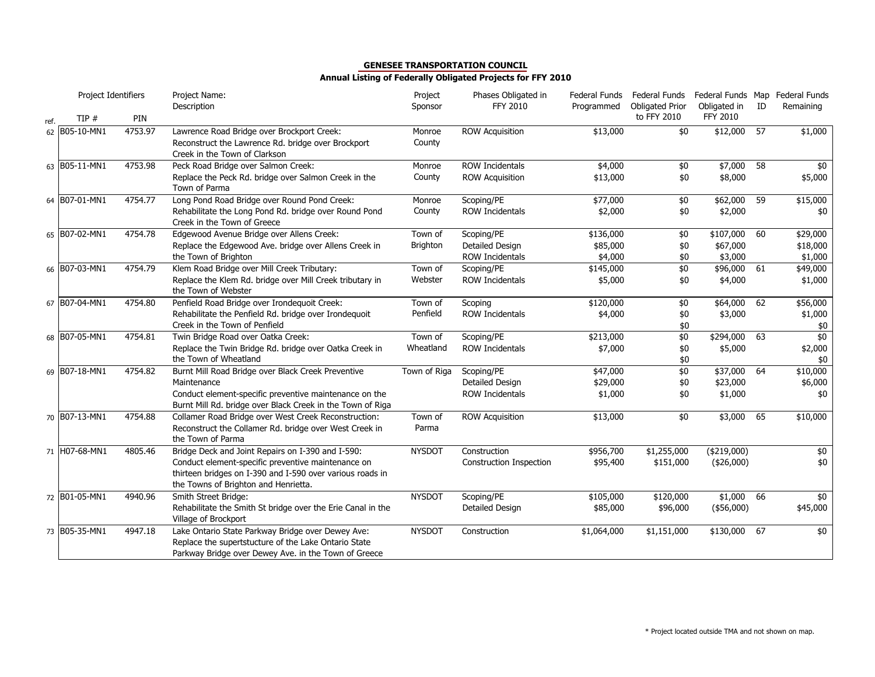|      | Project Identifiers |         | Project Name:<br>Description                                                                                                                                      | Project<br>Sponsor | Phases Obligated in<br><b>FFY 2010</b> | Federal Funds<br>Programmed | Federal Funds<br><b>Obligated Prior</b> | Federal Funds Map Federal Funds<br>Obligated in | ID | Remaining       |
|------|---------------------|---------|-------------------------------------------------------------------------------------------------------------------------------------------------------------------|--------------------|----------------------------------------|-----------------------------|-----------------------------------------|-------------------------------------------------|----|-----------------|
| ref. | TIP#                | PIN     |                                                                                                                                                                   |                    |                                        |                             | to FFY 2010                             | <b>FFY 2010</b>                                 |    |                 |
|      | 62 B05-10-MN1       | 4753.97 | Lawrence Road Bridge over Brockport Creek:<br>Reconstruct the Lawrence Rd. bridge over Brockport<br>Creek in the Town of Clarkson                                 | Monroe<br>County   | <b>ROW Acquisition</b>                 | \$13,000                    | \$0                                     | \$12,000                                        | 57 | $\sqrt{$1,000}$ |
|      | 63 B05-11-MN1       | 4753.98 | Peck Road Bridge over Salmon Creek:                                                                                                                               | Monroe             | <b>ROW Incidentals</b>                 | \$4,000                     | \$0                                     | \$7,000                                         | 58 | \$0             |
|      |                     |         | Replace the Peck Rd. bridge over Salmon Creek in the<br>Town of Parma                                                                                             | County             | <b>ROW Acquisition</b>                 | \$13,000                    | \$0                                     | \$8,000                                         |    | \$5,000         |
|      | 64 B07-01-MN1       | 4754.77 | Long Pond Road Bridge over Round Pond Creek:                                                                                                                      | Monroe             | Scoping/PE                             | \$77,000                    | \$0                                     | \$62,000                                        | 59 | \$15,000        |
|      |                     |         | Rehabilitate the Long Pond Rd. bridge over Round Pond<br>Creek in the Town of Greece                                                                              | County             | <b>ROW Incidentals</b>                 | \$2,000                     | \$0                                     | \$2,000                                         |    | \$0             |
|      | 65 B07-02-MN1       | 4754.78 | Edgewood Avenue Bridge over Allens Creek:                                                                                                                         | Town of            | Scoping/PE                             | \$136,000                   | \$0                                     | \$107,000                                       | 60 | \$29,000        |
|      |                     |         | Replace the Edgewood Ave. bridge over Allens Creek in                                                                                                             | <b>Brighton</b>    | Detailed Design                        | \$85,000                    | \$0                                     | \$67,000                                        |    | \$18,000        |
|      |                     |         | the Town of Brighton                                                                                                                                              |                    | <b>ROW Incidentals</b>                 | \$4,000                     | \$0                                     | \$3,000                                         |    | \$1,000         |
|      | 66 B07-03-MN1       | 4754.79 | Klem Road Bridge over Mill Creek Tributary:                                                                                                                       | Town of            | Scoping/PE                             | \$145,000                   | \$0                                     | \$96,000 61                                     |    | \$49,000        |
|      |                     |         | Replace the Klem Rd. bridge over Mill Creek tributary in<br>the Town of Webster                                                                                   | Webster            | <b>ROW Incidentals</b>                 | \$5,000                     | \$0                                     | \$4,000                                         |    | \$1,000         |
|      | 67 B07-04-MN1       | 4754.80 | Penfield Road Bridge over Irondequoit Creek:                                                                                                                      | Town of            | Scoping                                | \$120,000                   | \$0                                     | \$64,000                                        | 62 | \$56,000        |
|      |                     |         | Rehabilitate the Penfield Rd. bridge over Irondequoit<br>Creek in the Town of Penfield                                                                            | Penfield           | <b>ROW Incidentals</b>                 | \$4,000                     | \$0                                     | \$3,000                                         |    | \$1,000         |
|      | 68 B07-05-MN1       | 4754.81 | Twin Bridge Road over Oatka Creek:                                                                                                                                | Town of            | Scoping/PE                             | \$213,000                   | \$0<br>\$0                              | \$294,000                                       | 63 | \$0<br>\$0      |
|      |                     |         | Replace the Twin Bridge Rd. bridge over Oatka Creek in                                                                                                            | Wheatland          | <b>ROW Incidentals</b>                 | \$7,000                     | \$0                                     | \$5,000                                         |    | \$2,000         |
|      |                     |         | the Town of Wheatland                                                                                                                                             |                    |                                        |                             | \$0                                     |                                                 |    | \$0             |
|      | 69 B07-18-MN1       | 4754.82 | Burnt Mill Road Bridge over Black Creek Preventive                                                                                                                | Town of Riga       | Scoping/PE                             | \$47,000                    | \$0                                     | \$37,000                                        | 64 | \$10,000        |
|      |                     |         | Maintenance                                                                                                                                                       |                    | Detailed Design                        | \$29,000                    | \$0                                     | \$23,000                                        |    | \$6,000         |
|      |                     |         | Conduct element-specific preventive maintenance on the<br>Burnt Mill Rd. bridge over Black Creek in the Town of Riga                                              |                    | <b>ROW Incidentals</b>                 | \$1,000                     | \$0                                     | \$1,000                                         |    | \$0             |
|      | 70 B07-13-MN1       | 4754.88 | Collamer Road Bridge over West Creek Reconstruction:                                                                                                              | Town of            | <b>ROW Acquisition</b>                 | \$13,000                    | \$0                                     | \$3,000                                         | 65 | \$10,000        |
|      |                     |         | Reconstruct the Collamer Rd. bridge over West Creek in<br>the Town of Parma                                                                                       | Parma              |                                        |                             |                                         |                                                 |    |                 |
|      | 71 H07-68-MN1       | 4805.46 | Bridge Deck and Joint Repairs on I-390 and I-590:                                                                                                                 | <b>NYSDOT</b>      | Construction                           | \$956,700                   | \$1,255,000                             | $(*219,000)$                                    |    | \$0             |
|      |                     |         | Conduct element-specific preventive maintenance on<br>thirteen bridges on I-390 and I-590 over various roads in<br>the Towns of Brighton and Henrietta.           |                    | Construction Inspection                | \$95,400                    | \$151,000                               | (\$26,000)                                      |    | \$0             |
|      | 72 B01-05-MN1       | 4940.96 | Smith Street Bridge:                                                                                                                                              | <b>NYSDOT</b>      | Scoping/PE                             | \$105,000                   | \$120,000                               | \$1,000 66                                      |    | \$0             |
|      |                     |         | Rehabilitate the Smith St bridge over the Erie Canal in the<br>Village of Brockport                                                                               |                    | Detailed Design                        | \$85,000                    | \$96,000                                | $(*56,000)$                                     |    | \$45,000        |
|      | 73 B05-35-MN1       | 4947.18 | Lake Ontario State Parkway Bridge over Dewey Ave:<br>Replace the supertstucture of the Lake Ontario State<br>Parkway Bridge over Dewey Ave. in the Town of Greece | <b>NYSDOT</b>      | Construction                           | \$1,064,000                 | \$1,151,000                             | \$130,000                                       | 67 | \$0             |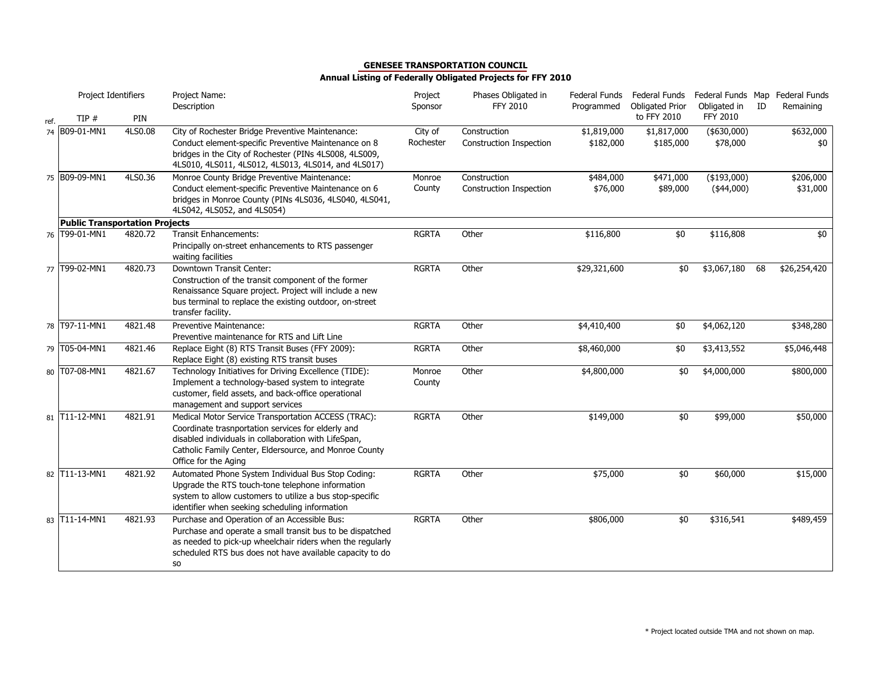|      | Project Identifiers                   |         | Project Name:<br>Description                                                                                                                                                                                                                        | Project<br>Sponsor   | Phases Obligated in<br><b>FFY 2010</b>         | Federal Funds<br>Programmed | Federal Funds<br><b>Obligated Prior</b> | Federal Funds Map Federal Funds<br>Obligated in | ID | Remaining             |
|------|---------------------------------------|---------|-----------------------------------------------------------------------------------------------------------------------------------------------------------------------------------------------------------------------------------------------------|----------------------|------------------------------------------------|-----------------------------|-----------------------------------------|-------------------------------------------------|----|-----------------------|
| ref. | TIP#                                  | PIN     |                                                                                                                                                                                                                                                     |                      |                                                |                             | to FFY 2010                             | FFY 2010                                        |    |                       |
|      | 74 B09-01-MN1                         | 4LS0.08 | City of Rochester Bridge Preventive Maintenance:<br>Conduct element-specific Preventive Maintenance on 8<br>bridges in the City of Rochester (PINs 4LS008, 4LS009,<br>4LS010, 4LS011, 4LS012, 4LS013, 4LS014, and 4LS017)                           | City of<br>Rochester | Construction<br><b>Construction Inspection</b> | \$1,819,000<br>\$182,000    | \$1,817,000<br>\$185,000                | $($ \$630,000)<br>\$78,000                      |    | \$632,000<br>\$0      |
|      | 75 B09-09-MN1                         | 4LS0.36 | Monroe County Bridge Preventive Maintenance:<br>Conduct element-specific Preventive Maintenance on 6<br>bridges in Monroe County (PINs 4LS036, 4LS040, 4LS041,<br>4LS042, 4LS052, and 4LS054)                                                       | Monroe<br>County     | Construction<br><b>Construction Inspection</b> | \$484,000<br>\$76,000       | \$471,000<br>\$89,000                   | $($ \$193,000)<br>$(*44,000)$                   |    | \$206,000<br>\$31,000 |
|      | <b>Public Transportation Projects</b> |         |                                                                                                                                                                                                                                                     |                      |                                                |                             |                                         |                                                 |    |                       |
|      | 76 T99-01-MN1                         | 4820.72 | <b>Transit Enhancements:</b><br>Principally on-street enhancements to RTS passenger<br>waiting facilities                                                                                                                                           | <b>RGRTA</b>         | Other                                          | \$116,800                   | \$0                                     | \$116,808                                       |    | \$0                   |
|      | 77 T99-02-MN1                         | 4820.73 | Downtown Transit Center:<br>Construction of the transit component of the former<br>Renaissance Square project. Project will include a new<br>bus terminal to replace the existing outdoor, on-street<br>transfer facility.                          | <b>RGRTA</b>         | Other                                          | \$29,321,600                | \$0                                     | \$3,067,180                                     | 68 | \$26,254,420          |
| 78   | T97-11-MN1                            | 4821.48 | Preventive Maintenance:<br>Preventive maintenance for RTS and Lift Line                                                                                                                                                                             | <b>RGRTA</b>         | Other                                          | \$4,410,400                 | \$0                                     | \$4,062,120                                     |    | \$348,280             |
|      | 79 T05-04-MN1                         | 4821.46 | Replace Eight (8) RTS Transit Buses (FFY 2009):<br>Replace Eight (8) existing RTS transit buses                                                                                                                                                     | <b>RGRTA</b>         | Other                                          | \$8,460,000                 | \$0                                     | \$3,413,552                                     |    | \$5,046,448           |
|      | 80 T07-08-MN1                         | 4821.67 | Technology Initiatives for Driving Excellence (TIDE):<br>Implement a technology-based system to integrate<br>customer, field assets, and back-office operational<br>management and support services                                                 | Monroe<br>County     | Other                                          | \$4,800,000                 | \$0                                     | \$4,000,000                                     |    | \$800,000             |
| 81   | T11-12-MN1                            | 4821.91 | Medical Motor Service Transportation ACCESS (TRAC):<br>Coordinate trasnportation services for elderly and<br>disabled individuals in collaboration with LifeSpan,<br>Catholic Family Center, Eldersource, and Monroe County<br>Office for the Aging | <b>RGRTA</b>         | Other                                          | \$149,000                   | \$0                                     | \$99,000                                        |    | \$50,000              |
|      | 82 T11-13-MN1                         | 4821.92 | Automated Phone System Individual Bus Stop Coding:<br>Upgrade the RTS touch-tone telephone information<br>system to allow customers to utilize a bus stop-specific<br>identifier when seeking scheduling information                                | <b>RGRTA</b>         | Other                                          | \$75,000                    | \$0                                     | \$60,000                                        |    | \$15,000              |
|      | 83 T11-14-MN1                         | 4821.93 | Purchase and Operation of an Accessible Bus:<br>Purchase and operate a small transit bus to be dispatched<br>as needed to pick-up wheelchair riders when the regularly<br>scheduled RTS bus does not have available capacity to do<br>SO            | <b>RGRTA</b>         | Other                                          | \$806,000                   | \$0                                     | \$316,541                                       |    | \$489,459             |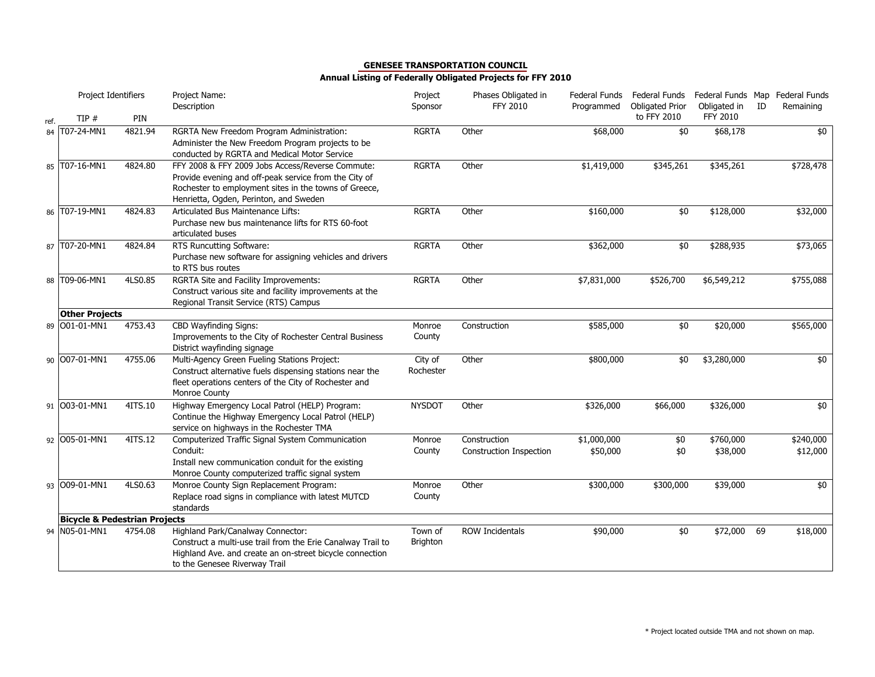|      | Project Identifiers                      |         | Project Name:<br>Description                                                                                                                                                                                 | Project<br>Sponsor         | Phases Obligated in<br>FFY 2010                | Federal Funds<br>Programmed | Federal Funds<br><b>Obligated Prior</b> | Federal Funds Map Federal Funds<br>Obligated in | ID | Remaining             |
|------|------------------------------------------|---------|--------------------------------------------------------------------------------------------------------------------------------------------------------------------------------------------------------------|----------------------------|------------------------------------------------|-----------------------------|-----------------------------------------|-------------------------------------------------|----|-----------------------|
| ref. | TIP#                                     | PIN     |                                                                                                                                                                                                              |                            |                                                |                             | to FFY 2010                             | FFY 2010                                        |    |                       |
| 84   | T07-24-MN1                               | 4821.94 | RGRTA New Freedom Program Administration:<br>Administer the New Freedom Program projects to be<br>conducted by RGRTA and Medical Motor Service                                                               | <b>RGRTA</b>               | Other                                          | \$68,000                    | \$0                                     | \$68,178                                        |    | \$0                   |
|      | 85 T07-16-MN1                            | 4824.80 | FFY 2008 & FFY 2009 Jobs Access/Reverse Commute:<br>Provide evening and off-peak service from the City of<br>Rochester to employment sites in the towns of Greece,<br>Henrietta, Ogden, Perinton, and Sweden | <b>RGRTA</b>               | Other                                          | \$1,419,000                 | \$345,261                               | \$345,261                                       |    | \$728,478             |
|      | 86 T07-19-MN1                            | 4824.83 | Articulated Bus Maintenance Lifts:<br>Purchase new bus maintenance lifts for RTS 60-foot<br>articulated buses                                                                                                | <b>RGRTA</b>               | Other                                          | \$160,000                   | \$0                                     | \$128,000                                       |    | \$32,000              |
|      | 87 T07-20-MN1                            | 4824.84 | RTS Runcutting Software:<br>Purchase new software for assigning vehicles and drivers<br>to RTS bus routes                                                                                                    | <b>RGRTA</b>               | Other                                          | \$362,000                   | \$0                                     | \$288,935                                       |    | \$73,065              |
|      | 88 T09-06-MN1                            | 4LS0.85 | RGRTA Site and Facility Improvements:<br>Construct various site and facility improvements at the<br>Regional Transit Service (RTS) Campus                                                                    | <b>RGRTA</b>               | Other                                          | \$7,831,000                 | \$526,700                               | \$6,549,212                                     |    | \$755,088             |
|      | <b>Other Projects</b>                    |         |                                                                                                                                                                                                              |                            |                                                |                             |                                         |                                                 |    |                       |
|      | 89 001-01-MN1                            | 4753.43 | CBD Wayfinding Signs:<br>Improvements to the City of Rochester Central Business<br>District wayfinding signage                                                                                               | Monroe<br>County           | Construction                                   | \$585,000                   | \$0                                     | \$20,000                                        |    | \$565,000             |
|      | 90 007-01-MN1                            | 4755.06 | Multi-Agency Green Fueling Stations Project:<br>Construct alternative fuels dispensing stations near the<br>fleet operations centers of the City of Rochester and<br>Monroe County                           | City of<br>Rochester       | Other                                          | \$800,000                   | \$0                                     | \$3,280,000                                     |    | \$0                   |
|      | 91 003-01-MN1                            | 4ITS.10 | Highway Emergency Local Patrol (HELP) Program:<br>Continue the Highway Emergency Local Patrol (HELP)<br>service on highways in the Rochester TMA                                                             | <b>NYSDOT</b>              | Other                                          | \$326,000                   | \$66,000                                | \$326,000                                       |    | \$0                   |
|      | 92 005-01-MN1                            | 4ITS.12 | Computerized Traffic Signal System Communication<br>Conduit:<br>Install new communication conduit for the existing<br>Monroe County computerized traffic signal system                                       | Monroe<br>County           | Construction<br><b>Construction Inspection</b> | \$1,000,000<br>\$50,000     | \$0<br>\$0                              | \$760,000<br>\$38,000                           |    | \$240,000<br>\$12,000 |
|      | 93 009-01-MN1                            | 4LS0.63 | Monroe County Sign Replacement Program:<br>Replace road signs in compliance with latest MUTCD<br>standards                                                                                                   | Monroe<br>County           | Other                                          | \$300,000                   | \$300,000                               | \$39,000                                        |    | \$0                   |
|      | <b>Bicycle &amp; Pedestrian Projects</b> |         |                                                                                                                                                                                                              |                            |                                                |                             |                                         |                                                 |    |                       |
|      | 94 N05-01-MN1                            | 4754.08 | Highland Park/Canalway Connector:<br>Construct a multi-use trail from the Erie Canalway Trail to<br>Highland Ave. and create an on-street bicycle connection<br>to the Genesee Riverway Trail                | Town of<br><b>Brighton</b> | <b>ROW Incidentals</b>                         | \$90,000                    | \$0                                     | \$72,000                                        | 69 | \$18,000              |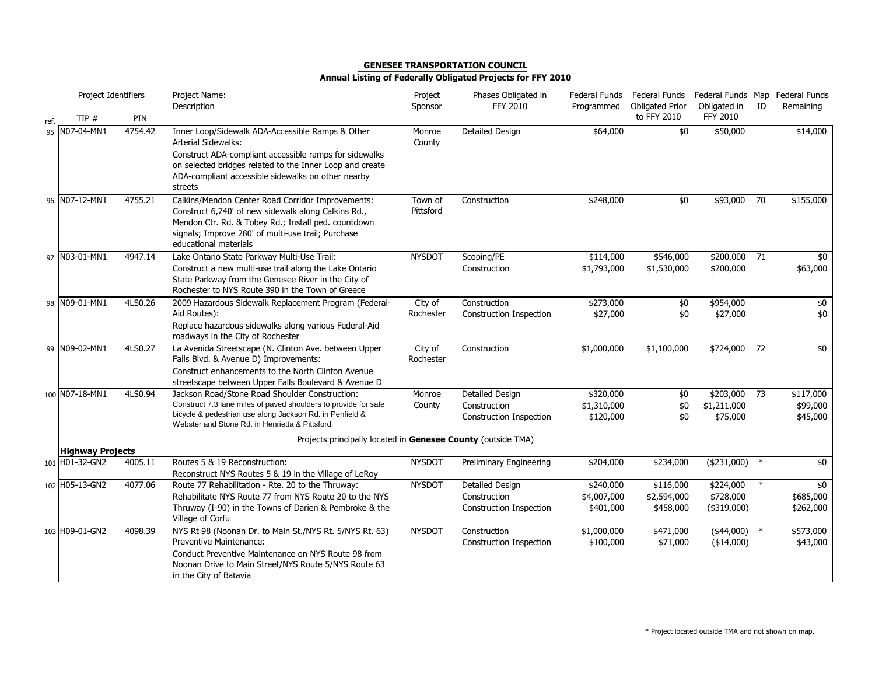|      | Project Identifiers                       |         | Project Name:<br>Description                                                                                                                                                                                                                                          | Project<br>Sponsor   | Phases Obligated in<br><b>FFY 2010</b>                            | Federal Funds<br>Programmed           | Federal Funds<br><b>Obligated Prior</b> | Federal Funds Map<br>Obligated in        | ID     | Federal Funds<br>Remaining        |
|------|-------------------------------------------|---------|-----------------------------------------------------------------------------------------------------------------------------------------------------------------------------------------------------------------------------------------------------------------------|----------------------|-------------------------------------------------------------------|---------------------------------------|-----------------------------------------|------------------------------------------|--------|-----------------------------------|
| ref. | TIP#                                      | PIN     |                                                                                                                                                                                                                                                                       |                      |                                                                   |                                       | to FFY 2010                             | FFY 2010                                 |        |                                   |
| 95   | N07-04-MN1                                | 4754.42 | Inner Loop/Sidewalk ADA-Accessible Ramps & Other<br><b>Arterial Sidewalks:</b><br>Construct ADA-compliant accessible ramps for sidewalks<br>on selected bridges related to the Inner Loop and create<br>ADA-compliant accessible sidewalks on other nearby<br>streets | Monroe<br>County     | <b>Detailed Design</b>                                            | \$64,000                              | \$0                                     | \$50,000                                 |        | \$14,000                          |
|      | 96 N07-12-MN1                             | 4755.21 | Calkins/Mendon Center Road Corridor Improvements:<br>Construct 6,740' of new sidewalk along Calkins Rd.,<br>Mendon Ctr. Rd. & Tobey Rd.; Install ped. countdown<br>signals; Improve 280' of multi-use trail; Purchase<br>educational materials                        | Town of<br>Pittsford | Construction                                                      | \$248,000                             | \$0                                     | \$93,000                                 | 70     | \$155,000                         |
|      | 97 N03-01-MN1                             | 4947.14 | Lake Ontario State Parkway Multi-Use Trail:<br>Construct a new multi-use trail along the Lake Ontario<br>State Parkway from the Genesee River in the City of<br>Rochester to NYS Route 390 in the Town of Greece                                                      | <b>NYSDOT</b>        | Scoping/PE<br>Construction                                        | \$114,000<br>\$1,793,000              | \$546,000<br>\$1,530,000                | \$200,000 71<br>\$200,000                |        | \$0<br>\$63,000                   |
|      | 98 N09-01-MN1                             | 4LS0.26 | 2009 Hazardous Sidewalk Replacement Program (Federal-<br>Aid Routes):<br>Replace hazardous sidewalks along various Federal-Aid<br>roadways in the City of Rochester                                                                                                   | City of<br>Rochester | Construction<br>Construction Inspection                           | \$273,000<br>\$27,000                 | \$0<br>\$0                              | \$954,000<br>\$27,000                    |        | \$0<br>\$0                        |
| 99   | N09-02-MN1                                | 4LS0.27 | La Avenida Streetscape (N. Clinton Ave. between Upper<br>Falls Blvd. & Avenue D) Improvements:<br>Construct enhancements to the North Clinton Avenue<br>streetscape between Upper Falls Boulevard & Avenue D                                                          | City of<br>Rochester | Construction                                                      | \$1,000,000                           | \$1,100,000                             | \$724,000 72                             |        | \$0                               |
|      | 100 NO7-18-MN1                            | 4LS0.94 | Jackson Road/Stone Road Shoulder Construction:<br>Construct 7.3 lane miles of paved shoulders to provide for safe<br>bicycle & pedestrian use along Jackson Rd. in Penfield &<br>Webster and Stone Rd. in Henrietta & Pittsford.                                      | Monroe<br>County     | <b>Detailed Design</b><br>Construction<br>Construction Inspection | \$320,000<br>\$1,310,000<br>\$120,000 | $$0$<br>\$0<br>\$0                      | \$203,000 73<br>\$1,211,000<br>\$75,000  |        | \$117,000<br>\$99,000<br>\$45,000 |
|      |                                           |         | Projects principally located in Genesee County (outside TMA)                                                                                                                                                                                                          |                      |                                                                   |                                       |                                         |                                          |        |                                   |
|      | <b>Highway Projects</b><br>101 H01-32-GN2 | 4005.11 | Routes 5 & 19 Reconstruction:<br>Reconstruct NYS Routes 5 & 19 in the Village of LeRoy                                                                                                                                                                                | <b>NYSDOT</b>        | Preliminary Engineering                                           | \$204,000                             | \$234,000                               | (\$231,000)                              | $\ast$ | \$0                               |
|      | 102 H05-13-GN2                            | 4077.06 | Route 77 Rehabilitation - Rte. 20 to the Thruway:<br>Rehabilitate NYS Route 77 from NYS Route 20 to the NYS<br>Thruway (I-90) in the Towns of Darien & Pembroke & the<br>Village of Corfu                                                                             | <b>NYSDOT</b>        | Detailed Design<br>Construction<br>Construction Inspection        | \$240,000<br>\$4,007,000<br>\$401,000 | \$116,000<br>\$2,594,000<br>\$458,000   | \$224,000<br>\$728,000<br>$($ \$319,000) | $\ast$ | \$0<br>\$685,000<br>\$262,000     |
|      | 103 H09-01-GN2                            | 4098.39 | NYS Rt 98 (Noonan Dr. to Main St./NYS Rt. 5/NYS Rt. 63)<br><b>Preventive Maintenance:</b><br>Conduct Preventive Maintenance on NYS Route 98 from<br>Noonan Drive to Main Street/NYS Route 5/NYS Route 63<br>in the City of Batavia                                    | <b>NYSDOT</b>        | Construction<br>Construction Inspection                           | \$1,000,000<br>\$100,000              | \$471,000<br>\$71,000                   | $(*44,000)$<br>$(*14,000)$               | $\ast$ | \$573,000<br>\$43,000             |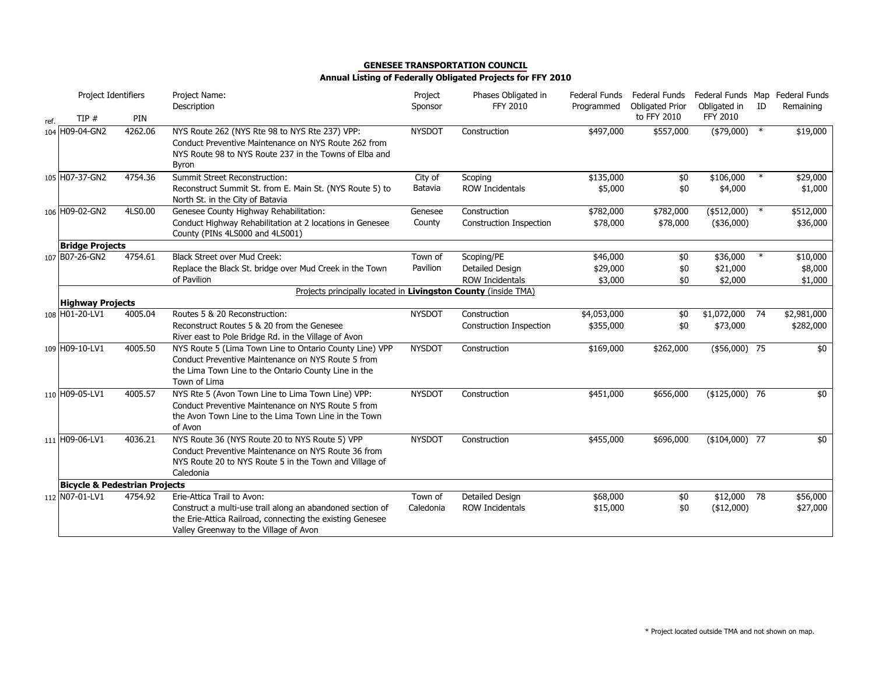|      | Project Identifiers                      |         | Project Name:<br>Description                                                                                                                                                          | Project<br>Sponsor | Phases Obligated in<br><b>FFY 2010</b> | <b>Federal Funds</b><br>Programmed | Federal Funds<br><b>Obligated Prior</b> | Federal Funds Map Federal Funds<br>Obligated in | ID     | Remaining   |
|------|------------------------------------------|---------|---------------------------------------------------------------------------------------------------------------------------------------------------------------------------------------|--------------------|----------------------------------------|------------------------------------|-----------------------------------------|-------------------------------------------------|--------|-------------|
| ref. | TIP#                                     | PIN     |                                                                                                                                                                                       |                    |                                        |                                    | to FFY 2010                             | <b>FFY 2010</b>                                 |        |             |
|      | 104 H09-04-GN2                           | 4262.06 | NYS Route 262 (NYS Rte 98 to NYS Rte 237) VPP:<br>Conduct Preventive Maintenance on NYS Route 262 from<br>NYS Route 98 to NYS Route 237 in the Towns of Elba and<br>Byron             | <b>NYSDOT</b>      | Construction                           | \$497,000                          | \$557,000                               | (\$79,000)                                      | $\ast$ | \$19,000    |
|      | 105 H07-37-GN2                           | 4754.36 | Summit Street Reconstruction:                                                                                                                                                         | City of            | Scoping                                | \$135,000                          | \$0                                     | \$106,000                                       | $\ast$ | \$29,000    |
|      |                                          |         | Reconstruct Summit St. from E. Main St. (NYS Route 5) to<br>North St. in the City of Batavia                                                                                          | Batavia            | <b>ROW Incidentals</b>                 | \$5,000                            | \$0                                     | \$4,000                                         |        | \$1,000     |
|      | 106 H09-02-GN2                           | 4LS0.00 | Genesee County Highway Rehabilitation:                                                                                                                                                | Genesee            | Construction                           | \$782,000                          | \$782,000                               | (\$512,000)                                     | $\ast$ | \$512,000   |
|      |                                          |         | Conduct Highway Rehabilitation at 2 locations in Genesee<br>County (PINs 4LS000 and 4LS001)                                                                                           | County             | Construction Inspection                | \$78,000                           | \$78,000                                | (\$36,000)                                      |        | \$36,000    |
|      | <b>Bridge Projects</b>                   |         |                                                                                                                                                                                       |                    |                                        |                                    |                                         |                                                 |        |             |
|      | 107 B07-26-GN2                           | 4754.61 | <b>Black Street over Mud Creek:</b>                                                                                                                                                   | Town of            | Scoping/PE                             | \$46,000                           | \$0                                     | \$36,000                                        |        | \$10,000    |
|      |                                          |         | Replace the Black St. bridge over Mud Creek in the Town                                                                                                                               | Pavilion           | Detailed Design                        | \$29,000                           | \$0                                     | \$21,000                                        |        | \$8,000     |
|      |                                          |         | of Pavilion                                                                                                                                                                           |                    | <b>ROW Incidentals</b>                 | \$3,000                            | \$0                                     | \$2,000                                         |        | \$1,000     |
|      |                                          |         | Projects principally located in Livingston County (inside TMA)                                                                                                                        |                    |                                        |                                    |                                         |                                                 |        |             |
|      | <b>Highway Projects</b>                  |         |                                                                                                                                                                                       |                    |                                        |                                    |                                         |                                                 |        |             |
|      | 108 H01-20-LV1                           | 4005.04 | Routes 5 & 20 Reconstruction:                                                                                                                                                         | <b>NYSDOT</b>      | Construction                           | \$4,053,000                        | \$0                                     | $$1,072,000$ 74                                 |        | \$2,981,000 |
|      |                                          |         | Reconstruct Routes 5 & 20 from the Genesee                                                                                                                                            |                    | Construction Inspection                | \$355,000                          | \$0                                     | \$73,000                                        |        | \$282,000   |
|      |                                          |         | River east to Pole Bridge Rd. in the Village of Avon                                                                                                                                  |                    |                                        |                                    |                                         |                                                 |        |             |
|      | 109 H09-10-LV1                           | 4005.50 | NYS Route 5 (Lima Town Line to Ontario County Line) VPP<br>Conduct Preventive Maintenance on NYS Route 5 from<br>the Lima Town Line to the Ontario County Line in the<br>Town of Lima | <b>NYSDOT</b>      | Construction                           | \$169,000                          | \$262,000                               | $($56,000)$ 75                                  |        | \$0         |
|      | 110 H09-05-LV1                           | 4005.57 | NYS Rte 5 (Avon Town Line to Lima Town Line) VPP:<br>Conduct Preventive Maintenance on NYS Route 5 from<br>the Avon Town Line to the Lima Town Line in the Town<br>of Avon            | <b>NYSDOT</b>      | Construction                           | \$451,000                          | \$656,000                               | $($125,000)$ 76                                 |        | \$0         |
|      | 111 H09-06-LV1                           | 4036.21 | NYS Route 36 (NYS Route 20 to NYS Route 5) VPP<br>Conduct Preventive Maintenance on NYS Route 36 from<br>NYS Route 20 to NYS Route 5 in the Town and Village of<br>Caledonia          | <b>NYSDOT</b>      | Construction                           | \$455,000                          | \$696,000                               | $(*104,000)$ 77                                 |        | \$0         |
|      | <b>Bicycle &amp; Pedestrian Projects</b> |         |                                                                                                                                                                                       |                    |                                        |                                    |                                         |                                                 |        |             |
|      | 112 NO7-01-LV1                           | 4754.92 | Erie-Attica Trail to Avon:                                                                                                                                                            | Town of            | Detailed Design                        | \$68,000                           | \$0                                     | \$12,000                                        | 78     | \$56,000    |
|      |                                          |         | Construct a multi-use trail along an abandoned section of<br>the Erie-Attica Railroad, connecting the existing Genesee<br>Valley Greenway to the Village of Avon                      | Caledonia          | <b>ROW Incidentals</b>                 | \$15,000                           | \$0                                     | $(*12,000)$                                     |        | \$27,000    |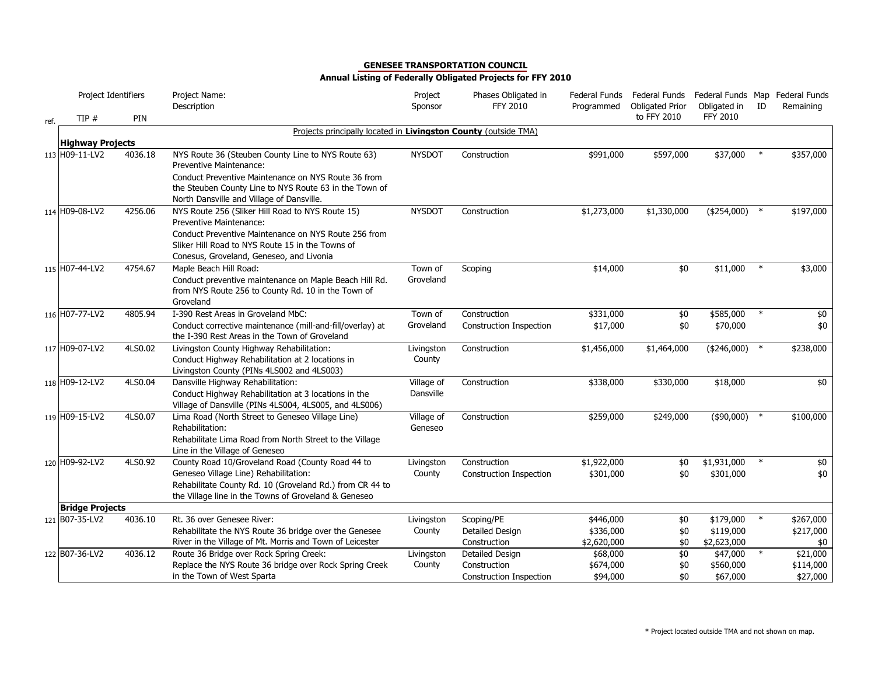|      | Project Identifiers     |         | Project Name:<br>Description                                                                                   | Project<br>Sponsor      | Phases Obligated in<br><b>FFY 2010</b> | Federal Funds<br>Programmed | Federal Funds<br><b>Obligated Prior</b> | Federal Funds Map Federal Funds<br>Obligated in | ID     | Remaining |
|------|-------------------------|---------|----------------------------------------------------------------------------------------------------------------|-------------------------|----------------------------------------|-----------------------------|-----------------------------------------|-------------------------------------------------|--------|-----------|
| ref. | TIP#                    | PIN     |                                                                                                                |                         |                                        |                             | to FFY 2010                             | <b>FFY 2010</b>                                 |        |           |
|      |                         |         | Projects principally located in Livingston County (outside TMA)                                                |                         |                                        |                             |                                         |                                                 |        |           |
|      | <b>Highway Projects</b> |         |                                                                                                                |                         |                                        |                             |                                         |                                                 |        |           |
|      | 113 H09-11-LV2          | 4036.18 | NYS Route 36 (Steuben County Line to NYS Route 63)<br>Preventive Maintenance:                                  | <b>NYSDOT</b>           | Construction                           | \$991,000                   | \$597,000                               | \$37,000                                        |        | \$357,000 |
|      |                         |         | Conduct Preventive Maintenance on NYS Route 36 from                                                            |                         |                                        |                             |                                         |                                                 |        |           |
|      |                         |         | the Steuben County Line to NYS Route 63 in the Town of<br>North Dansville and Village of Dansville.            |                         |                                        |                             |                                         |                                                 |        |           |
|      | 114 H09-08-LV2          | 4256.06 | NYS Route 256 (Sliker Hill Road to NYS Route 15)                                                               | <b>NYSDOT</b>           | Construction                           | \$1,273,000                 | \$1,330,000                             | $(*254,000)$                                    | $\ast$ | \$197,000 |
|      |                         |         | Preventive Maintenance:                                                                                        |                         |                                        |                             |                                         |                                                 |        |           |
|      |                         |         | Conduct Preventive Maintenance on NYS Route 256 from                                                           |                         |                                        |                             |                                         |                                                 |        |           |
|      |                         |         | Sliker Hill Road to NYS Route 15 in the Towns of<br>Conesus, Groveland, Geneseo, and Livonia                   |                         |                                        |                             |                                         |                                                 |        |           |
|      | 115 H07-44-LV2          | 4754.67 | Maple Beach Hill Road:                                                                                         | Town of                 | Scoping                                | \$14,000                    | \$0                                     | \$11,000                                        | $\ast$ | \$3,000   |
|      |                         |         | Conduct preventive maintenance on Maple Beach Hill Rd.                                                         | Groveland               |                                        |                             |                                         |                                                 |        |           |
|      |                         |         | from NYS Route 256 to County Rd. 10 in the Town of<br>Groveland                                                |                         |                                        |                             |                                         |                                                 |        |           |
|      | 116 H07-77-LV2          | 4805.94 | I-390 Rest Areas in Groveland MbC:                                                                             | Town of                 | Construction                           | \$331,000                   | \$0                                     | \$585,000                                       | $\ast$ | \$0       |
|      |                         |         | Conduct corrective maintenance (mill-and-fill/overlay) at                                                      | Groveland               | <b>Construction Inspection</b>         | \$17,000                    | \$0                                     | \$70,000                                        |        | \$0       |
|      |                         |         | the I-390 Rest Areas in the Town of Groveland                                                                  |                         |                                        |                             |                                         |                                                 |        |           |
|      | 117 H09-07-LV2          | 4LS0.02 | Livingston County Highway Rehabilitation:                                                                      | Livingston              | Construction                           | \$1,456,000                 | \$1,464,000                             | $(*246,000)$ *                                  |        | \$238,000 |
|      |                         |         | Conduct Highway Rehabilitation at 2 locations in                                                               | County                  |                                        |                             |                                         |                                                 |        |           |
|      |                         |         | Livingston County (PINs 4LS002 and 4LS003)                                                                     |                         |                                        |                             |                                         |                                                 |        |           |
|      | 118 H09-12-LV2          | 4LS0.04 | Dansville Highway Rehabilitation:                                                                              | Village of<br>Dansville | Construction                           | \$338,000                   | \$330,000                               | \$18,000                                        |        | \$0       |
|      |                         |         | Conduct Highway Rehabilitation at 3 locations in the<br>Village of Dansville (PINs 4LS004, 4LS005, and 4LS006) |                         |                                        |                             |                                         |                                                 |        |           |
|      | 119 H09-15-LV2          | 4LS0.07 | Lima Road (North Street to Geneseo Village Line)                                                               | Village of              | Construction                           | \$259,000                   | \$249,000                               | $(*90,000)$                                     |        | \$100,000 |
|      |                         |         | Rehabilitation:                                                                                                | Geneseo                 |                                        |                             |                                         |                                                 |        |           |
|      |                         |         | Rehabilitate Lima Road from North Street to the Village                                                        |                         |                                        |                             |                                         |                                                 |        |           |
|      |                         |         | Line in the Village of Geneseo                                                                                 |                         |                                        |                             |                                         |                                                 |        |           |
|      | 120 H09-92-LV2          | 4LS0.92 | County Road 10/Groveland Road (County Road 44 to                                                               | Livingston              | Construction                           | \$1,922,000                 | \$0                                     | \$1,931,000                                     | $\ast$ | \$0       |
|      |                         |         | Geneseo Village Line) Rehabilitation:<br>Rehabilitate County Rd. 10 (Groveland Rd.) from CR 44 to              | County                  | Construction Inspection                | \$301,000                   | \$0                                     | \$301,000                                       |        | \$0       |
|      |                         |         | the Village line in the Towns of Groveland & Geneseo                                                           |                         |                                        |                             |                                         |                                                 |        |           |
|      | <b>Bridge Projects</b>  |         |                                                                                                                |                         |                                        |                             |                                         |                                                 |        |           |
|      | 121 B07-35-LV2          | 4036.10 | Rt. 36 over Genesee River:                                                                                     | Livingston              | Scoping/PE                             | \$446,000                   | \$0                                     | \$179,000                                       |        | \$267,000 |
|      |                         |         | Rehabilitate the NYS Route 36 bridge over the Genesee                                                          | County                  | Detailed Design                        | \$336,000                   | \$0                                     | \$119,000                                       |        | \$217,000 |
|      |                         |         | River in the Village of Mt. Morris and Town of Leicester                                                       |                         | Construction                           | \$2,620,000                 | \$0                                     | \$2,623,000                                     |        | \$0       |
|      | 122 B07-36-LV2          | 4036.12 | Route 36 Bridge over Rock Spring Creek:                                                                        | Livingston              | Detailed Design                        | \$68,000                    | $$0$                                    | \$47,000                                        |        | \$21,000  |
|      |                         |         | Replace the NYS Route 36 bridge over Rock Spring Creek                                                         | County                  | Construction                           | \$674,000                   | \$0                                     | \$560,000                                       |        | \$114,000 |
|      |                         |         | in the Town of West Sparta                                                                                     |                         | Construction Inspection                | \$94,000                    | \$0                                     | \$67,000                                        |        | \$27,000  |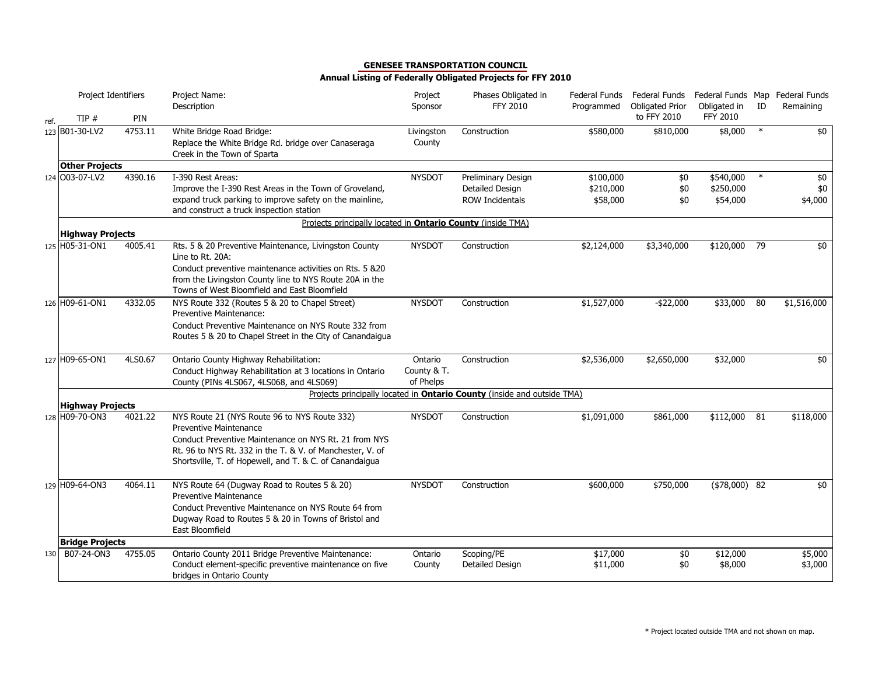|      | Project Identifiers     |         | Project Name:<br>Description                                                                                                                                                                    | Project<br>Sponsor                  | Phases Obligated in<br><b>FFY 2010</b>                                         | Federal Funds<br>Programmed | Federal Funds<br><b>Obligated Prior</b> | Obligated in          | ID     | Federal Funds Map Federal Funds<br>Remaining |
|------|-------------------------|---------|-------------------------------------------------------------------------------------------------------------------------------------------------------------------------------------------------|-------------------------------------|--------------------------------------------------------------------------------|-----------------------------|-----------------------------------------|-----------------------|--------|----------------------------------------------|
| ref. | TIP#                    | PIN     |                                                                                                                                                                                                 |                                     |                                                                                |                             | to FFY 2010                             | <b>FFY 2010</b>       |        |                                              |
|      | 123 B01-30-LV2          | 4753.11 | White Bridge Road Bridge:<br>Replace the White Bridge Rd. bridge over Canaseraga<br>Creek in the Town of Sparta                                                                                 | Livingston<br>County                | Construction                                                                   | \$580,000                   | \$810,000                               | \$8,000               | $\ast$ | \$0                                          |
|      | <b>Other Projects</b>   |         |                                                                                                                                                                                                 |                                     |                                                                                |                             |                                         |                       |        |                                              |
|      | 124 003-07-LV2          | 4390.16 | I-390 Rest Areas:                                                                                                                                                                               | <b>NYSDOT</b>                       | Preliminary Design                                                             | \$100,000                   | \$0                                     | \$540,000             | $\ast$ | \$0                                          |
|      |                         |         | Improve the I-390 Rest Areas in the Town of Groveland,<br>expand truck parking to improve safety on the mainline,<br>and construct a truck inspection station                                   |                                     | Detailed Design<br><b>ROW Incidentals</b>                                      | \$210,000<br>\$58,000       | \$0<br>\$0                              | \$250,000<br>\$54,000 |        | \$0<br>\$4,000                               |
|      |                         |         | Projects principally located in <b>Ontario County</b> (inside TMA)                                                                                                                              |                                     |                                                                                |                             |                                         |                       |        |                                              |
|      | <b>Highway Projects</b> |         |                                                                                                                                                                                                 |                                     |                                                                                |                             |                                         |                       |        |                                              |
|      | 125 H05-31-ON1          | 4005.41 | Rts. 5 & 20 Preventive Maintenance, Livingston County<br>Line to Rt. 20A:<br>Conduct preventive maintenance activities on Rts. 5 &20<br>from the Livingston County line to NYS Route 20A in the | <b>NYSDOT</b>                       | Construction                                                                   | \$2,124,000                 | \$3,340,000                             | \$120,000 79          |        | \$0                                          |
|      |                         |         | Towns of West Bloomfield and East Bloomfield                                                                                                                                                    |                                     |                                                                                |                             |                                         |                       |        |                                              |
|      | 126 H09-61-ON1          | 4332.05 | NYS Route 332 (Routes 5 & 20 to Chapel Street)<br>Preventive Maintenance:                                                                                                                       | <b>NYSDOT</b>                       | Construction                                                                   | \$1,527,000                 | $-$ \$22,000                            | \$33,000              | 80     | \$1,516,000                                  |
|      |                         |         | Conduct Preventive Maintenance on NYS Route 332 from<br>Routes 5 & 20 to Chapel Street in the City of Canandaigua                                                                               |                                     |                                                                                |                             |                                         |                       |        |                                              |
|      | 127 H09-65-ON1          | 4LS0.67 | Ontario County Highway Rehabilitation:<br>Conduct Highway Rehabilitation at 3 locations in Ontario<br>County (PINs 4LS067, 4LS068, and 4LS069)                                                  | Ontario<br>County & T.<br>of Phelps | Construction                                                                   | \$2,536,000                 | \$2,650,000                             | \$32,000              |        | \$0                                          |
|      |                         |         |                                                                                                                                                                                                 |                                     | Projects principally located in <b>Ontario County</b> (inside and outside TMA) |                             |                                         |                       |        |                                              |
|      | <b>Highway Projects</b> |         |                                                                                                                                                                                                 |                                     |                                                                                |                             |                                         |                       |        |                                              |
|      | 128 H09-70-ON3          | 4021.22 | NYS Route 21 (NYS Route 96 to NYS Route 332)<br><b>Preventive Maintenance</b>                                                                                                                   | <b>NYSDOT</b>                       | Construction                                                                   | \$1,091,000                 | \$861,000                               | $$112,000$ 81         |        | \$118,000                                    |
|      |                         |         | Conduct Preventive Maintenance on NYS Rt. 21 from NYS<br>Rt. 96 to NYS Rt. 332 in the T. & V. of Manchester, V. of<br>Shortsville, T. of Hopewell, and T. & C. of Canandaigua                   |                                     |                                                                                |                             |                                         |                       |        |                                              |
|      | 129 H09-64-ON3          | 4064.11 | NYS Route 64 (Dugway Road to Routes 5 & 20)<br><b>Preventive Maintenance</b>                                                                                                                    | <b>NYSDOT</b>                       | Construction                                                                   | \$600,000                   | \$750,000                               | $($78,000)$ 82        |        | \$0                                          |
|      |                         |         | Conduct Preventive Maintenance on NYS Route 64 from<br>Dugway Road to Routes 5 & 20 in Towns of Bristol and<br>East Bloomfield                                                                  |                                     |                                                                                |                             |                                         |                       |        |                                              |
|      | <b>Bridge Projects</b>  |         |                                                                                                                                                                                                 |                                     |                                                                                |                             |                                         |                       |        |                                              |
| 130  | B07-24-ON3              | 4755.05 | Ontario County 2011 Bridge Preventive Maintenance:<br>Conduct element-specific preventive maintenance on five<br>bridges in Ontario County                                                      | Ontario<br>County                   | Scoping/PE<br>Detailed Design                                                  | \$17,000<br>\$11,000        | \$0<br>\$0                              | \$12,000<br>\$8,000   |        | \$5,000<br>\$3,000                           |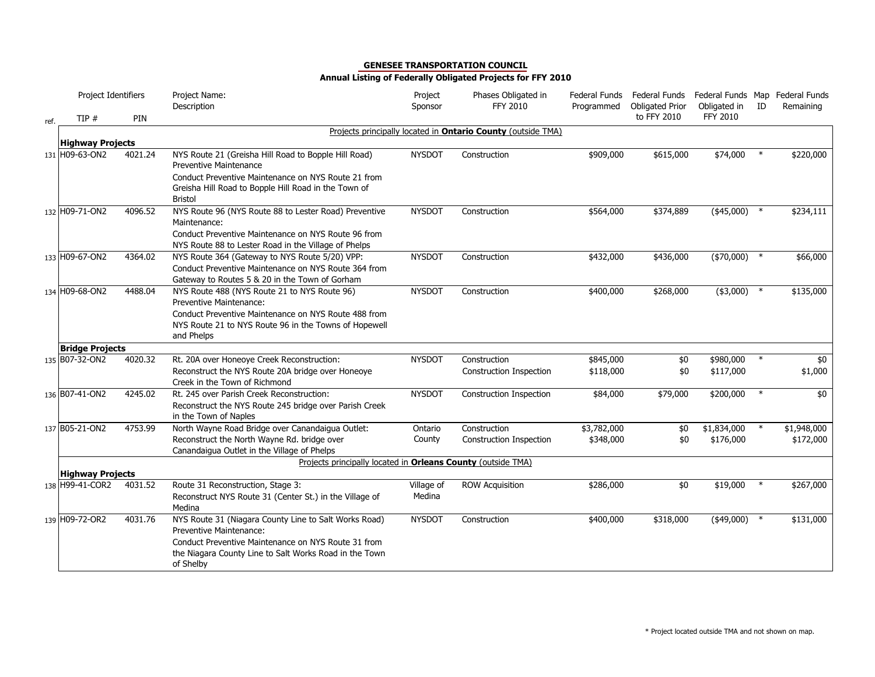|      | Project Identifiers     |         | Project Name:                                                                                                                                                                                                         | Project              | Phases Obligated in                                                 | Federal Funds            | Federal Funds                         | Federal Funds Map Federal Funds |        |                          |
|------|-------------------------|---------|-----------------------------------------------------------------------------------------------------------------------------------------------------------------------------------------------------------------------|----------------------|---------------------------------------------------------------------|--------------------------|---------------------------------------|---------------------------------|--------|--------------------------|
|      |                         |         | Description                                                                                                                                                                                                           | Sponsor              | FFY 2010                                                            | Programmed               | <b>Obligated Prior</b><br>to FFY 2010 | Obligated in<br><b>FFY 2010</b> | ID     | Remaining                |
| ref. | TIP#                    | PIN     |                                                                                                                                                                                                                       |                      |                                                                     |                          |                                       |                                 |        |                          |
|      | <b>Highway Projects</b> |         |                                                                                                                                                                                                                       |                      | Projects principally located in <b>Ontario County</b> (outside TMA) |                          |                                       |                                 |        |                          |
|      | 131 H09-63-ON2          | 4021.24 | NYS Route 21 (Greisha Hill Road to Bopple Hill Road)<br><b>Preventive Maintenance</b>                                                                                                                                 | <b>NYSDOT</b>        | Construction                                                        | \$909,000                | \$615,000                             | \$74,000                        | $\ast$ | \$220,000                |
|      |                         |         | Conduct Preventive Maintenance on NYS Route 21 from<br>Greisha Hill Road to Bopple Hill Road in the Town of<br><b>Bristol</b>                                                                                         |                      |                                                                     |                          |                                       |                                 |        |                          |
|      | 132 H09-71-ON2          | 4096.52 | NYS Route 96 (NYS Route 88 to Lester Road) Preventive<br>Maintenance:                                                                                                                                                 | <b>NYSDOT</b>        | Construction                                                        | \$564,000                | \$374,889                             | $(*45,000)$                     | $\ast$ | \$234,111                |
|      |                         |         | Conduct Preventive Maintenance on NYS Route 96 from<br>NYS Route 88 to Lester Road in the Village of Phelps                                                                                                           |                      |                                                                     |                          |                                       |                                 |        |                          |
|      | 133 H09-67-ON2          | 4364.02 | NYS Route 364 (Gateway to NYS Route 5/20) VPP:<br>Conduct Preventive Maintenance on NYS Route 364 from<br>Gateway to Routes 5 & 20 in the Town of Gorham                                                              | <b>NYSDOT</b>        | Construction                                                        | \$432,000                | \$436,000                             | $(*70,000)$                     | $\ast$ | \$66,000                 |
|      | 134 H09-68-ON2          | 4488.04 | NYS Route 488 (NYS Route 21 to NYS Route 96)<br><b>Preventive Maintenance:</b><br>Conduct Preventive Maintenance on NYS Route 488 from<br>NYS Route 21 to NYS Route 96 in the Towns of Hopewell<br>and Phelps         | <b>NYSDOT</b>        | Construction                                                        | \$400,000                | \$268,000                             | $(*3,000)$ *                    |        | \$135,000                |
|      | <b>Bridge Projects</b>  |         |                                                                                                                                                                                                                       |                      |                                                                     |                          |                                       |                                 |        |                          |
|      | 135 B07-32-ON2          | 4020.32 | Rt. 20A over Honeoye Creek Reconstruction:<br>Reconstruct the NYS Route 20A bridge over Honeoye<br>Creek in the Town of Richmond                                                                                      | <b>NYSDOT</b>        | Construction<br>Construction Inspection                             | \$845,000<br>\$118,000   | \$0<br>\$0                            | \$980,000<br>\$117,000          | $\ast$ | \$0<br>\$1,000           |
|      | 136 B07-41-ON2          | 4245.02 | Rt. 245 over Parish Creek Reconstruction:<br>Reconstruct the NYS Route 245 bridge over Parish Creek<br>in the Town of Naples                                                                                          | <b>NYSDOT</b>        | Construction Inspection                                             | \$84,000                 | \$79,000                              | \$200,000                       |        | \$0                      |
|      | 137 B05-21-ON2          | 4753.99 | North Wayne Road Bridge over Canandaigua Outlet:<br>Reconstruct the North Wayne Rd. bridge over<br>Canandaigua Outlet in the Village of Phelps                                                                        | Ontario<br>County    | Construction<br>Construction Inspection                             | \$3,782,000<br>\$348,000 | \$0<br>\$0                            | \$1,834,000<br>\$176,000        | $\ast$ | \$1,948,000<br>\$172,000 |
|      |                         |         | Projects principally located in Orleans County (outside TMA)                                                                                                                                                          |                      |                                                                     |                          |                                       |                                 |        |                          |
|      | <b>Highway Projects</b> |         |                                                                                                                                                                                                                       |                      |                                                                     |                          |                                       |                                 | $\ast$ |                          |
|      | 138 H99-41-COR2         | 4031.52 | Route 31 Reconstruction, Stage 3:<br>Reconstruct NYS Route 31 (Center St.) in the Village of<br>Medina                                                                                                                | Village of<br>Medina | <b>ROW Acquisition</b>                                              | \$286,000                | \$0                                   | \$19,000                        |        | \$267,000                |
|      | 139 H09-72-OR2          | 4031.76 | NYS Route 31 (Niagara County Line to Salt Works Road)<br><b>Preventive Maintenance:</b><br>Conduct Preventive Maintenance on NYS Route 31 from<br>the Niagara County Line to Salt Works Road in the Town<br>of Shelby | <b>NYSDOT</b>        | Construction                                                        | \$400,000                | \$318,000                             | $(*49,000)$                     | $\ast$ | \$131,000                |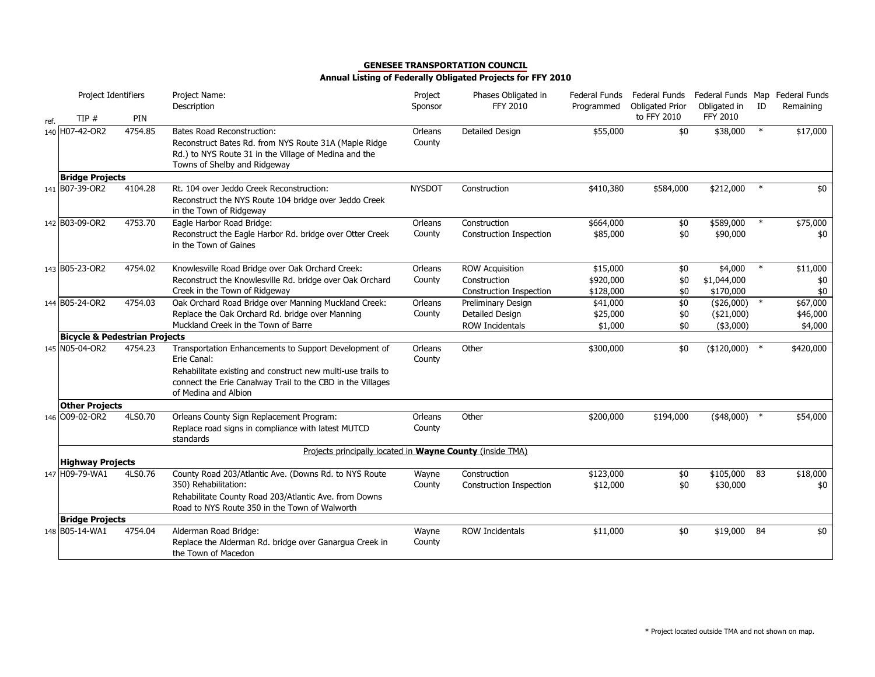|      | Project Identifiers                      |            | Project Name:<br>Description                                                                                                                                                        | Project<br>Sponsor | Phases Obligated in<br>FFY 2010         | Federal Funds<br>Programmed | Federal Funds<br><b>Obligated Prior</b> | Federal Funds Map Federal Funds<br>Obligated in | ID     | Remaining       |
|------|------------------------------------------|------------|-------------------------------------------------------------------------------------------------------------------------------------------------------------------------------------|--------------------|-----------------------------------------|-----------------------------|-----------------------------------------|-------------------------------------------------|--------|-----------------|
| ref. | TIP#                                     | <b>PIN</b> |                                                                                                                                                                                     |                    |                                         |                             | to FFY 2010                             | FFY 2010                                        |        |                 |
|      | 140 H07-42-OR2                           | 4754.85    | <b>Bates Road Reconstruction:</b><br>Reconstruct Bates Rd. from NYS Route 31A (Maple Ridge<br>Rd.) to NYS Route 31 in the Village of Medina and the<br>Towns of Shelby and Ridgeway | Orleans<br>County  | <b>Detailed Design</b>                  | \$55,000                    | \$0                                     | \$38,000                                        | $\ast$ | \$17,000        |
|      | <b>Bridge Projects</b>                   |            |                                                                                                                                                                                     |                    |                                         |                             |                                         |                                                 |        |                 |
|      | 141 B07-39-OR2                           | 4104.28    | Rt. 104 over Jeddo Creek Reconstruction:<br>Reconstruct the NYS Route 104 bridge over Jeddo Creek<br>in the Town of Ridgeway                                                        | <b>NYSDOT</b>      | Construction                            | \$410,380                   | \$584,000                               | \$212,000                                       | $\ast$ | \$0             |
|      | 142 B03-09-OR2                           | 4753.70    | Eagle Harbor Road Bridge:                                                                                                                                                           | Orleans            | Construction                            | \$664,000                   | \$0                                     | \$589,000                                       | $\ast$ | \$75,000        |
|      |                                          |            | Reconstruct the Eagle Harbor Rd. bridge over Otter Creek<br>in the Town of Gaines                                                                                                   | County             | Construction Inspection                 | \$85,000                    | \$0                                     | \$90,000                                        |        | \$0             |
|      | 143 B05-23-OR2                           | 4754.02    | Knowlesville Road Bridge over Oak Orchard Creek:                                                                                                                                    | Orleans            | <b>ROW Acquisition</b>                  | \$15,000                    | \$0                                     | \$4,000                                         | $\ast$ | \$11,000        |
|      |                                          |            | Reconstruct the Knowlesville Rd. bridge over Oak Orchard                                                                                                                            | County             | Construction                            | \$920,000                   | \$0                                     | \$1,044,000                                     |        | \$0             |
|      |                                          |            | Creek in the Town of Ridgeway                                                                                                                                                       |                    | Construction Inspection                 | \$128,000                   | \$0                                     | \$170,000                                       |        | \$0             |
|      | 144 B05-24-OR2                           | 4754.03    | Oak Orchard Road Bridge over Manning Muckland Creek:                                                                                                                                | Orleans            | Preliminary Design                      | \$41,000                    | \$0                                     | (\$26,000)                                      | $\ast$ | \$67,000        |
|      |                                          |            | Replace the Oak Orchard Rd. bridge over Manning                                                                                                                                     | County             | Detailed Design                         | \$25,000                    | \$0                                     | $(*21,000)$                                     |        | \$46,000        |
|      |                                          |            | Muckland Creek in the Town of Barre                                                                                                                                                 |                    | <b>ROW Incidentals</b>                  | \$1,000                     | \$0                                     | ( \$3,000)                                      |        | \$4,000         |
|      | <b>Bicycle &amp; Pedestrian Projects</b> |            |                                                                                                                                                                                     |                    |                                         |                             |                                         |                                                 |        |                 |
|      | 145 N05-04-OR2                           | 4754.23    | Transportation Enhancements to Support Development of<br>Erie Canal:                                                                                                                | Orleans<br>County  | Other                                   | \$300,000                   | \$0                                     | (\$120,000)                                     |        | \$420,000       |
|      |                                          |            | Rehabilitate existing and construct new multi-use trails to<br>connect the Erie Canalway Trail to the CBD in the Villages<br>of Medina and Albion                                   |                    |                                         |                             |                                         |                                                 |        |                 |
|      | <b>Other Projects</b>                    |            |                                                                                                                                                                                     |                    |                                         |                             |                                         |                                                 |        |                 |
|      | 146 009-02-OR2                           | 4LS0.70    | Orleans County Sign Replacement Program:                                                                                                                                            | Orleans            | Other                                   | \$200,000                   | \$194,000                               | $(*48,000)$                                     |        | \$54,000        |
|      |                                          |            | Replace road signs in compliance with latest MUTCD<br>standards                                                                                                                     | County             |                                         |                             |                                         |                                                 |        |                 |
|      | <b>Highway Projects</b>                  |            | Projects principally located in Wayne County (inside TMA)                                                                                                                           |                    |                                         |                             |                                         |                                                 |        |                 |
|      | 147 H09-79-WA1                           | 4LS0.76    | County Road 203/Atlantic Ave. (Downs Rd. to NYS Route<br>350) Rehabilitation:                                                                                                       | Wayne<br>County    | Construction<br>Construction Inspection | \$123,000<br>\$12,000       | \$0<br>\$0                              | \$105,000 83<br>\$30,000                        |        | \$18,000<br>\$0 |
|      |                                          |            | Rehabilitate County Road 203/Atlantic Ave. from Downs<br>Road to NYS Route 350 in the Town of Walworth                                                                              |                    |                                         |                             |                                         |                                                 |        |                 |
|      | <b>Bridge Projects</b>                   |            |                                                                                                                                                                                     |                    |                                         |                             |                                         |                                                 |        |                 |
|      | 148 B05-14-WA1                           | 4754.04    | Alderman Road Bridge:<br>Replace the Alderman Rd. bridge over Ganargua Creek in<br>the Town of Macedon                                                                              | Wayne<br>County    | <b>ROW Incidentals</b>                  | \$11,000                    | \$0                                     | \$19,000                                        | 84     | \$0             |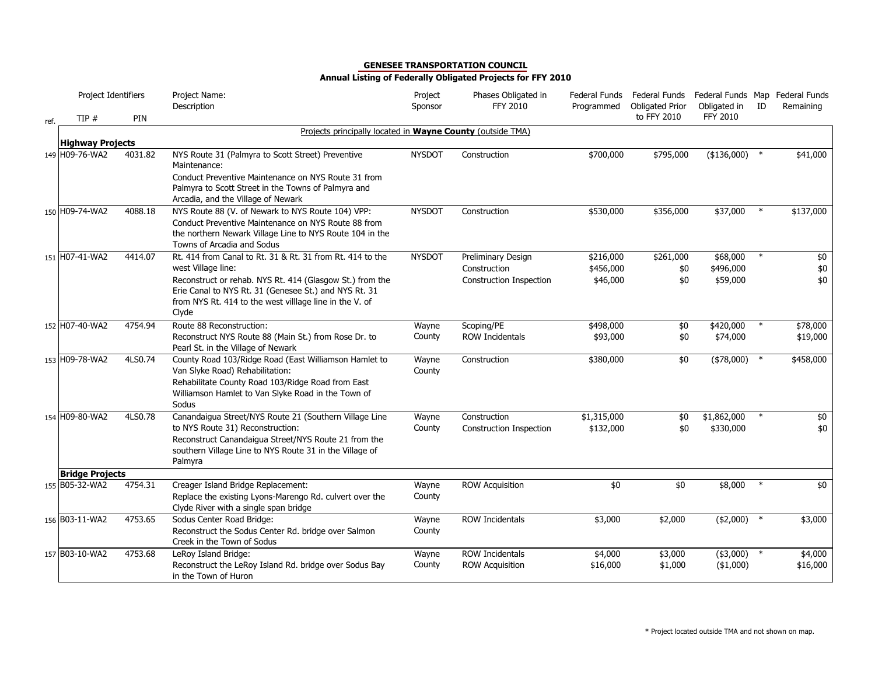|      | Project Identifiers                      |         | Project Name:<br>Description                                                                                      | Project<br>Sponsor | Phases Obligated in<br><b>FFY 2010</b> | Federal Funds<br>Programmed | Federal Funds<br><b>Obligated Prior</b> | Federal Funds Map Federal Funds<br>Obligated in | ID     | Remaining |
|------|------------------------------------------|---------|-------------------------------------------------------------------------------------------------------------------|--------------------|----------------------------------------|-----------------------------|-----------------------------------------|-------------------------------------------------|--------|-----------|
| ref. | TIP#                                     | PIN     |                                                                                                                   |                    |                                        |                             | to FFY 2010                             | <b>FFY 2010</b>                                 |        |           |
|      |                                          |         | Projects principally located in Wayne County (outside TMA)                                                        |                    |                                        |                             |                                         |                                                 |        |           |
|      | <b>Highway Projects</b>                  |         |                                                                                                                   |                    |                                        |                             |                                         |                                                 |        |           |
|      | 149 H09-76-WA2                           | 4031.82 | NYS Route 31 (Palmyra to Scott Street) Preventive<br>Maintenance:                                                 | <b>NYSDOT</b>      | Construction                           | \$700,000                   | \$795,000                               | (\$136,000)                                     |        | \$41,000  |
|      |                                          |         | Conduct Preventive Maintenance on NYS Route 31 from                                                               |                    |                                        |                             |                                         |                                                 |        |           |
|      |                                          |         | Palmyra to Scott Street in the Towns of Palmyra and<br>Arcadia, and the Village of Newark                         |                    |                                        |                             |                                         |                                                 |        |           |
|      | 150 H09-74-WA2                           | 4088.18 | NYS Route 88 (V. of Newark to NYS Route 104) VPP:                                                                 | <b>NYSDOT</b>      | Construction                           | \$530,000                   | \$356,000                               | \$37,000                                        | $\ast$ | \$137,000 |
|      |                                          |         | Conduct Preventive Maintenance on NYS Route 88 from                                                               |                    |                                        |                             |                                         |                                                 |        |           |
|      |                                          |         | the northern Newark Village Line to NYS Route 104 in the                                                          |                    |                                        |                             |                                         |                                                 |        |           |
|      |                                          |         | Towns of Arcadia and Sodus                                                                                        |                    |                                        |                             |                                         |                                                 |        |           |
|      | 151 H07-41-WA2                           | 4414.07 | Rt. 414 from Canal to Rt. 31 & Rt. 31 from Rt. 414 to the                                                         | <b>NYSDOT</b>      | Preliminary Design                     | \$216,000                   | \$261,000                               | \$68,000                                        |        | \$0       |
|      |                                          |         | west Village line:                                                                                                |                    | Construction                           | \$456,000                   | \$0                                     | \$496,000                                       |        | \$0       |
|      |                                          |         | Reconstruct or rehab. NYS Rt. 414 (Glasgow St.) from the<br>Erie Canal to NYS Rt. 31 (Genesee St.) and NYS Rt. 31 |                    | Construction Inspection                | \$46,000                    | \$0                                     | \$59,000                                        |        | \$0       |
|      |                                          |         | from NYS Rt. 414 to the west village line in the V. of                                                            |                    |                                        |                             |                                         |                                                 |        |           |
|      |                                          |         | Clyde                                                                                                             |                    |                                        |                             |                                         |                                                 |        |           |
|      | 152 H07-40-WA2                           | 4754.94 | Route 88 Reconstruction:                                                                                          | Wayne              | Scoping/PE                             | \$498,000                   | \$0                                     | \$420,000                                       | $\ast$ | \$78,000  |
|      |                                          |         | Reconstruct NYS Route 88 (Main St.) from Rose Dr. to                                                              | County             | <b>ROW Incidentals</b>                 | \$93,000                    | \$0                                     | \$74,000                                        |        | \$19,000  |
|      |                                          |         | Pearl St. in the Village of Newark                                                                                |                    |                                        |                             |                                         |                                                 |        |           |
|      | 153 H09-78-WA2                           | 4LS0.74 | County Road 103/Ridge Road (East Williamson Hamlet to<br>Van Slyke Road) Rehabilitation:                          | Wayne<br>County    | Construction                           | \$380,000                   | \$0                                     | $(*78,000)$                                     | $\ast$ | \$458,000 |
|      |                                          |         | Rehabilitate County Road 103/Ridge Road from East                                                                 |                    |                                        |                             |                                         |                                                 |        |           |
|      |                                          |         | Williamson Hamlet to Van Slyke Road in the Town of<br>Sodus                                                       |                    |                                        |                             |                                         |                                                 |        |           |
|      | 154 H09-80-WA2                           | 4LS0.78 | Canandaigua Street/NYS Route 21 (Southern Village Line                                                            | Wayne              | Construction                           | \$1,315,000                 | \$0                                     | \$1,862,000                                     | $\ast$ | \$0       |
|      |                                          |         | to NYS Route 31) Reconstruction:                                                                                  | County             | <b>Construction Inspection</b>         | \$132,000                   | \$0                                     | \$330,000                                       |        | \$0       |
|      |                                          |         | Reconstruct Canandaigua Street/NYS Route 21 from the                                                              |                    |                                        |                             |                                         |                                                 |        |           |
|      |                                          |         | southern Village Line to NYS Route 31 in the Village of                                                           |                    |                                        |                             |                                         |                                                 |        |           |
|      |                                          |         | Palmyra                                                                                                           |                    |                                        |                             |                                         |                                                 |        |           |
|      | <b>Bridge Projects</b><br>155 B05-32-WA2 | 4754.31 | Creager Island Bridge Replacement:                                                                                | Wayne              | <b>ROW Acquisition</b>                 | \$0                         | \$0                                     | \$8,000                                         |        | \$0       |
|      |                                          |         | Replace the existing Lyons-Marengo Rd. culvert over the                                                           | County             |                                        |                             |                                         |                                                 |        |           |
|      |                                          |         | Clyde River with a single span bridge                                                                             |                    |                                        |                             |                                         |                                                 |        |           |
|      | 156 B03-11-WA2                           | 4753.65 | Sodus Center Road Bridge:                                                                                         | Wayne              | <b>ROW Incidentals</b>                 | \$3,000                     | \$2,000                                 | $*(2,000)$ *                                    |        | \$3,000   |
|      |                                          |         | Reconstruct the Sodus Center Rd. bridge over Salmon                                                               | County             |                                        |                             |                                         |                                                 |        |           |
|      |                                          |         | Creek in the Town of Sodus                                                                                        |                    |                                        |                             |                                         |                                                 |        |           |
|      | 157 B03-10-WA2                           | 4753.68 | LeRoy Island Bridge:<br>Reconstruct the LeRoy Island Rd. bridge over Sodus Bay                                    | Wayne<br>County    | <b>ROW Incidentals</b>                 | \$4,000<br>\$16,000         | \$3,000<br>\$1,000                      | $(*3,000)$                                      | $\ast$ | \$4,000   |
|      |                                          |         | in the Town of Huron                                                                                              |                    | <b>ROW Acquisition</b>                 |                             |                                         | $(*1,000)$                                      |        | \$16,000  |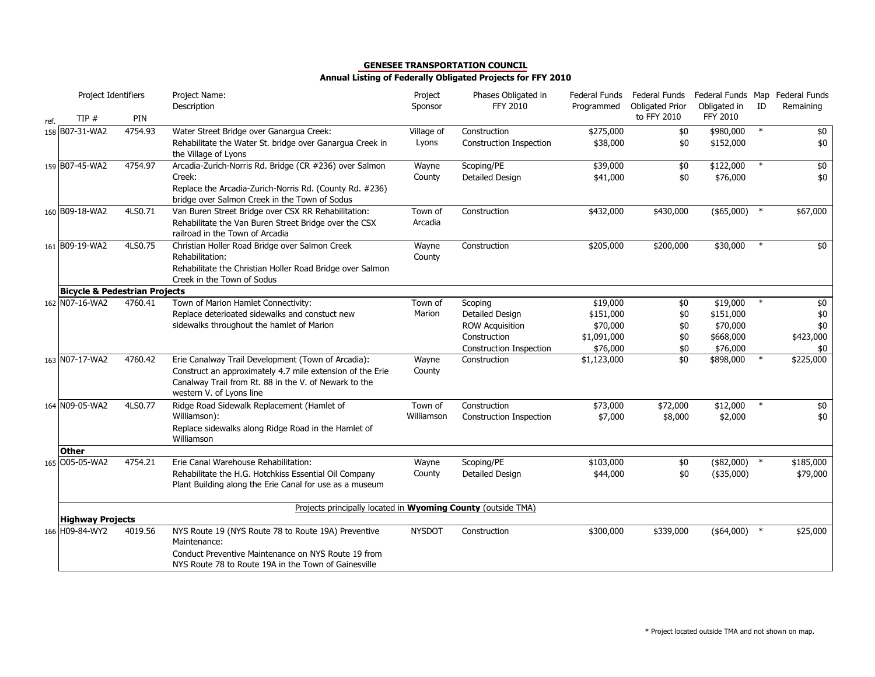|      | Project Identifiers                                        |         | Project Name:<br>Description                                                                                                                                                                         | Project<br>Sponsor  | Phases Obligated in<br>FFY 2010         | Federal Funds<br>Programmed | Federal Funds<br><b>Obligated Prior</b> | Obligated in              | ID     | Federal Funds Map Federal Funds<br>Remaining |
|------|------------------------------------------------------------|---------|------------------------------------------------------------------------------------------------------------------------------------------------------------------------------------------------------|---------------------|-----------------------------------------|-----------------------------|-----------------------------------------|---------------------------|--------|----------------------------------------------|
| ref. | TIP#                                                       | PIN     |                                                                                                                                                                                                      |                     |                                         |                             | to FFY 2010                             | FFY 2010                  |        |                                              |
|      | 158 B07-31-WA2                                             | 4754.93 | Water Street Bridge over Ganarqua Creek:<br>Rehabilitate the Water St. bridge over Ganargua Creek in<br>the Village of Lyons                                                                         | Village of<br>Lyons | Construction<br>Construction Inspection | \$275,000<br>\$38,000       | \$0<br>\$0                              | \$980,000<br>\$152,000    | $\ast$ | \$0<br>\$0                                   |
|      | 159 B07-45-WA2                                             | 4754.97 | Arcadia-Zurich-Norris Rd. Bridge (CR #236) over Salmon<br>Creek:<br>Replace the Arcadia-Zurich-Norris Rd. (County Rd. #236)<br>bridge over Salmon Creek in the Town of Sodus                         | Wayne<br>County     | Scoping/PE<br>Detailed Design           | \$39,000<br>\$41,000        | \$0<br>\$0                              | \$122,000<br>\$76,000     | $\ast$ | $$0$<br>\$0                                  |
|      | 160 B09-18-WA2                                             | 4LS0.71 | Van Buren Street Bridge over CSX RR Rehabilitation:<br>Rehabilitate the Van Buren Street Bridge over the CSX<br>railroad in the Town of Arcadia                                                      | Town of<br>Arcadia  | Construction                            | \$432,000                   | \$430,000                               | $(*65,000)$ *             |        | \$67,000                                     |
|      | 161 B09-19-WA2<br><b>Bicycle &amp; Pedestrian Projects</b> | 4LS0.75 | Christian Holler Road Bridge over Salmon Creek<br>Rehabilitation:<br>Rehabilitate the Christian Holler Road Bridge over Salmon<br>Creek in the Town of Sodus                                         | Wayne<br>County     | Construction                            | \$205,000                   | \$200,000                               | \$30,000                  | $\ast$ | \$0                                          |
|      | 162 N07-16-WA2                                             | 4760.41 | Town of Marion Hamlet Connectivity:                                                                                                                                                                  | Town of             | Scoping                                 | \$19,000                    | \$0                                     | \$19,000                  |        | \$0                                          |
|      |                                                            |         | Replace deterioated sidewalks and constuct new                                                                                                                                                       | Marion              | Detailed Design                         | \$151,000                   | \$0                                     | \$151,000                 |        | \$0                                          |
|      |                                                            |         | sidewalks throughout the hamlet of Marion                                                                                                                                                            |                     | <b>ROW Acquisition</b>                  | \$70,000                    | \$0                                     | \$70,000                  |        | \$0                                          |
|      |                                                            |         |                                                                                                                                                                                                      |                     | Construction                            | \$1,091,000                 | \$0                                     | \$668,000                 |        | \$423,000                                    |
|      |                                                            |         |                                                                                                                                                                                                      |                     | <b>Construction Inspection</b>          | \$76,000                    | \$0                                     | \$76,000                  |        | \$0                                          |
|      | 163 N07-17-WA2                                             | 4760.42 | Erie Canalway Trail Development (Town of Arcadia):<br>Construct an approximately 4.7 mile extension of the Erie<br>Canalway Trail from Rt. 88 in the V. of Newark to the<br>western V. of Lyons line | Wayne<br>County     | Construction                            | \$1,123,000                 | $\overline{50}$                         | \$898,000                 | $\ast$ | \$225,000                                    |
|      | 164 N09-05-WA2                                             | 4LS0.77 | Ridge Road Sidewalk Replacement (Hamlet of                                                                                                                                                           | Town of             | Construction                            | \$73,000                    | \$72,000                                | \$12,000                  | $\ast$ | \$0                                          |
|      |                                                            |         | Williamson):<br>Replace sidewalks along Ridge Road in the Hamlet of<br>Williamson                                                                                                                    | Williamson          | Construction Inspection                 | \$7,000                     | \$8,000                                 | \$2,000                   |        | \$0                                          |
|      | <b>Other</b>                                               |         |                                                                                                                                                                                                      |                     |                                         |                             |                                         |                           |        |                                              |
|      | 165 005-05-WA2                                             | 4754.21 | Erie Canal Warehouse Rehabilitation:<br>Rehabilitate the H.G. Hotchkiss Essential Oil Company<br>Plant Building along the Erie Canal for use as a museum                                             | Wayne<br>County     | Scoping/PE<br>Detailed Design           | \$103,000<br>\$44,000       | \$0<br>\$0                              | (\$82,000)<br>$(*35,000)$ | $\ast$ | \$185,000<br>\$79,000                        |
|      | <b>Highway Projects</b>                                    |         | Projects principally located in <b>Wyoming County</b> (outside TMA)                                                                                                                                  |                     |                                         |                             |                                         |                           |        |                                              |
|      | 166 H09-84-WY2                                             | 4019.56 | NYS Route 19 (NYS Route 78 to Route 19A) Preventive<br>Maintenance:<br>Conduct Preventive Maintenance on NYS Route 19 from<br>NYS Route 78 to Route 19A in the Town of Gainesville                   | <b>NYSDOT</b>       | Construction                            | \$300,000                   | \$339,000                               | $(*64,000)$ *             |        | \$25,000                                     |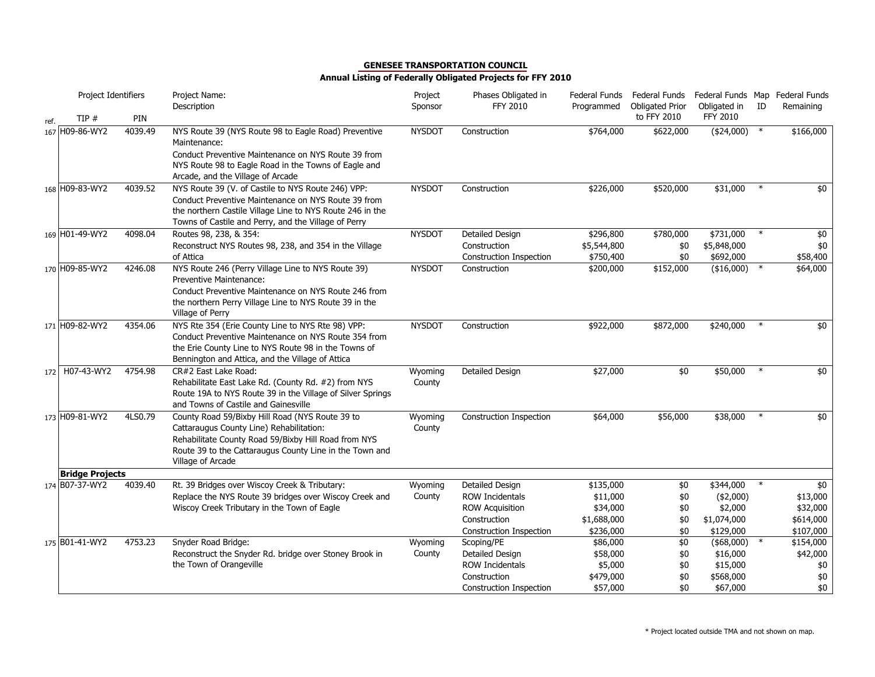|      | Project Identifiers    |            | Project Name:<br>Description                                                                                                                                                                                                        | Project<br>Sponsor | Phases Obligated in<br>FFY 2010         | Federal Funds<br>Programmed | Federal Funds<br><b>Obligated Prior</b> | Federal Funds Map Federal Funds<br>Obligated in | ID     | Remaining       |
|------|------------------------|------------|-------------------------------------------------------------------------------------------------------------------------------------------------------------------------------------------------------------------------------------|--------------------|-----------------------------------------|-----------------------------|-----------------------------------------|-------------------------------------------------|--------|-----------------|
| ref. | TIP#                   | <b>PIN</b> |                                                                                                                                                                                                                                     |                    |                                         |                             | to FFY 2010                             | <b>FFY 2010</b>                                 |        |                 |
|      | 167 H09-86-WY2         | 4039.49    | NYS Route 39 (NYS Route 98 to Eagle Road) Preventive<br>Maintenance:<br>Conduct Preventive Maintenance on NYS Route 39 from<br>NYS Route 98 to Eagle Road in the Towns of Eagle and<br>Arcade, and the Village of Arcade            | <b>NYSDOT</b>      | Construction                            | \$764,000                   | \$622,000                               | (\$24,000)                                      | $\ast$ | \$166,000       |
|      | 168 H09-83-WY2         | 4039.52    | NYS Route 39 (V. of Castile to NYS Route 246) VPP:<br>Conduct Preventive Maintenance on NYS Route 39 from<br>the northern Castile Village Line to NYS Route 246 in the<br>Towns of Castile and Perry, and the Village of Perry      | <b>NYSDOT</b>      | Construction                            | \$226,000                   | \$520,000                               | \$31,000                                        | $\ast$ | \$0             |
|      | 169 H01-49-WY2         | 4098.04    | Routes 98, 238, & 354:                                                                                                                                                                                                              | <b>NYSDOT</b>      | <b>Detailed Design</b>                  | \$296,800                   | \$780,000                               | \$731,000                                       | $\ast$ | $\overline{60}$ |
|      |                        |            | Reconstruct NYS Routes 98, 238, and 354 in the Village                                                                                                                                                                              |                    | Construction                            | \$5,544,800                 | \$0                                     | \$5,848,000                                     |        | \$0             |
|      |                        |            | of Attica                                                                                                                                                                                                                           |                    | Construction Inspection                 | \$750,400                   | \$0                                     | \$692,000                                       |        | \$58,400        |
|      | 170 H09-85-WY2         | 4246.08    | NYS Route 246 (Perry Village Line to NYS Route 39)<br><b>Preventive Maintenance:</b><br>Conduct Preventive Maintenance on NYS Route 246 from<br>the northern Perry Village Line to NYS Route 39 in the<br>Village of Perry          | <b>NYSDOT</b>      | Construction                            | \$200,000                   | \$152,000                               | (\$16,000)                                      | $\ast$ | \$64,000        |
|      | 171 H09-82-WY2         | 4354.06    | NYS Rte 354 (Erie County Line to NYS Rte 98) VPP:<br>Conduct Preventive Maintenance on NYS Route 354 from<br>the Erie County Line to NYS Route 98 in the Towns of<br>Bennington and Attica, and the Village of Attica               | <b>NYSDOT</b>      | Construction                            | \$922,000                   | \$872,000                               | \$240,000                                       | $\ast$ | \$0             |
|      | 172 H07-43-WY2         | 4754.98    | CR#2 East Lake Road:<br>Rehabilitate East Lake Rd. (County Rd. #2) from NYS<br>Route 19A to NYS Route 39 in the Village of Silver Springs<br>and Towns of Castile and Gainesville                                                   | Wyoming<br>County  | <b>Detailed Design</b>                  | \$27,000                    | \$0                                     | \$50,000                                        |        | \$0             |
|      | 173 H09-81-WY2         | 4LS0.79    | County Road 59/Bixby Hill Road (NYS Route 39 to<br>Cattaraugus County Line) Rehabilitation:<br>Rehabilitate County Road 59/Bixby Hill Road from NYS<br>Route 39 to the Cattaraugus County Line in the Town and<br>Village of Arcade | Wyoming<br>County  | Construction Inspection                 | \$64,000                    | \$56,000                                | \$38,000                                        | $\ast$ | \$0             |
|      | <b>Bridge Projects</b> |            |                                                                                                                                                                                                                                     |                    |                                         |                             |                                         |                                                 |        |                 |
|      | 174 B07-37-WY2         | 4039.40    | Rt. 39 Bridges over Wiscoy Creek & Tributary:                                                                                                                                                                                       | Wyoming            | Detailed Design                         | \$135,000                   | $$0$                                    | \$344,000                                       |        | \$0             |
|      |                        |            | Replace the NYS Route 39 bridges over Wiscoy Creek and                                                                                                                                                                              | County             | <b>ROW Incidentals</b>                  | \$11,000                    | \$0                                     | ( \$2,000)                                      |        | \$13,000        |
|      |                        |            | Wiscoy Creek Tributary in the Town of Eagle                                                                                                                                                                                         |                    | <b>ROW Acquisition</b>                  | \$34,000                    | \$0                                     | \$2,000                                         |        | \$32,000        |
|      |                        |            |                                                                                                                                                                                                                                     |                    | Construction                            | \$1,688,000                 | \$0                                     | \$1,074,000                                     |        | \$614,000       |
|      |                        |            |                                                                                                                                                                                                                                     |                    | Construction Inspection                 | \$236,000                   | \$0                                     | \$129,000                                       |        | \$107,000       |
|      | 175 B01-41-WY2         | 4753.23    | Snyder Road Bridge:                                                                                                                                                                                                                 | Wyoming            | Scoping/PE                              | \$86,000                    | \$0                                     | (\$68,000)                                      |        | \$154,000       |
|      |                        |            | Reconstruct the Snyder Rd. bridge over Stoney Brook in<br>the Town of Orangeville                                                                                                                                                   | County             | Detailed Design                         | \$58,000                    | \$0                                     | \$16,000                                        |        | \$42,000        |
|      |                        |            |                                                                                                                                                                                                                                     |                    | ROW Incidentals                         | \$5,000                     | \$0                                     | \$15,000                                        |        | \$0<br>$$0$$    |
|      |                        |            |                                                                                                                                                                                                                                     |                    | Construction<br>Construction Inspection | \$479,000<br>\$57,000       | \$0<br>\$0                              | \$568,000<br>\$67,000                           |        | \$0             |
|      |                        |            |                                                                                                                                                                                                                                     |                    |                                         |                             |                                         |                                                 |        |                 |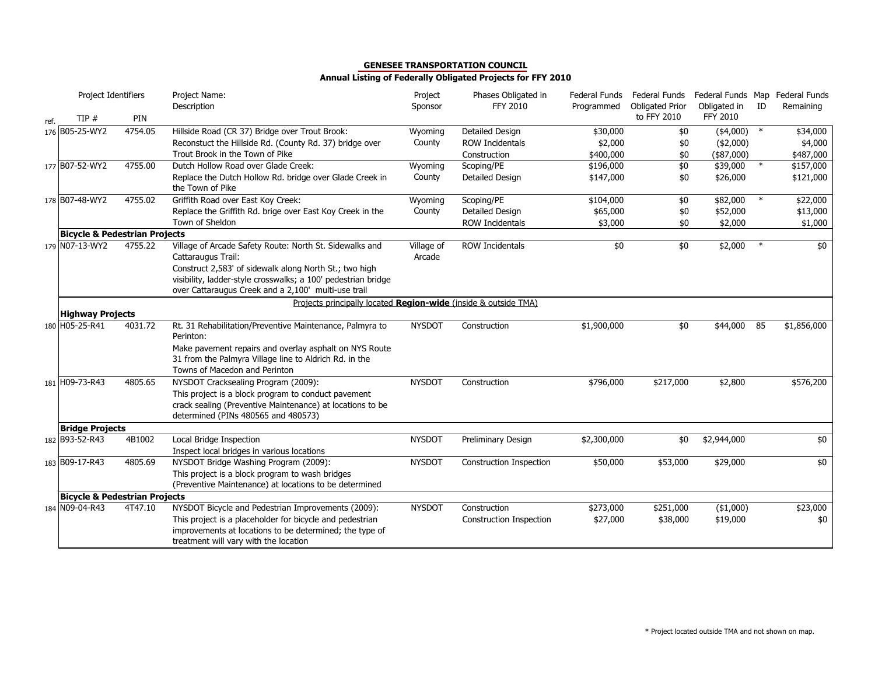|      | Project Identifiers                      |         | Project Name:<br>Description                                                                                        | Project<br>Sponsor | Phases Obligated in<br><b>FFY 2010</b> | Federal Funds<br>Programmed | Federal Funds<br><b>Obligated Prior</b> | Obligated in    | ID     | Federal Funds Map Federal Funds<br>Remaining |
|------|------------------------------------------|---------|---------------------------------------------------------------------------------------------------------------------|--------------------|----------------------------------------|-----------------------------|-----------------------------------------|-----------------|--------|----------------------------------------------|
| ref. | TIP $#$                                  | PIN     |                                                                                                                     |                    |                                        |                             | to FFY 2010                             | <b>FFY 2010</b> |        |                                              |
|      | 176 B05-25-WY2                           | 4754.05 | Hillside Road (CR 37) Bridge over Trout Brook:                                                                      | Wyoming            | Detailed Design                        | \$30,000                    | \$0                                     | $(*4,000)$      | $\ast$ | \$34,000                                     |
|      |                                          |         | Reconstuct the Hillside Rd. (County Rd. 37) bridge over                                                             | County             | <b>ROW Incidentals</b>                 | \$2,000                     | \$0                                     | $(*2,000)$      |        | \$4,000                                      |
|      |                                          |         | Trout Brook in the Town of Pike                                                                                     |                    | Construction                           | \$400,000                   | \$0                                     | $($ \$87,000)   |        | \$487,000                                    |
|      | 177 B07-52-WY2                           | 4755.00 | Dutch Hollow Road over Glade Creek:                                                                                 | Wyoming            | Scoping/PE                             | \$196,000                   | \$0                                     | \$39,000        | $\ast$ | \$157,000                                    |
|      |                                          |         | Replace the Dutch Hollow Rd. bridge over Glade Creek in<br>the Town of Pike                                         | County             | Detailed Design                        | \$147,000                   | \$0                                     | \$26,000        |        | \$121,000                                    |
|      | 178 B07-48-WY2                           | 4755.02 | Griffith Road over East Koy Creek:                                                                                  | Wyoming            | Scoping/PE                             | \$104,000                   | $$0$                                    | \$82,000        | $\ast$ | \$22,000                                     |
|      |                                          |         | Replace the Griffith Rd. brige over East Koy Creek in the                                                           | County             | Detailed Design                        | \$65,000                    | \$0                                     | \$52,000        |        | \$13,000                                     |
|      |                                          |         | Town of Sheldon                                                                                                     |                    | <b>ROW Incidentals</b>                 | \$3,000                     | \$0                                     | \$2,000         |        | \$1,000                                      |
|      | <b>Bicycle &amp; Pedestrian Projects</b> |         |                                                                                                                     |                    |                                        |                             |                                         |                 |        |                                              |
|      | 179 N07-13-WY2                           | 4755.22 | Village of Arcade Safety Route: North St. Sidewalks and                                                             | Village of         | <b>ROW Incidentals</b>                 | \$0                         | \$0                                     | \$2,000         |        | \$0                                          |
|      |                                          |         | Cattaraugus Trail:                                                                                                  | Arcade             |                                        |                             |                                         |                 |        |                                              |
|      |                                          |         | Construct 2,583' of sidewalk along North St.; two high                                                              |                    |                                        |                             |                                         |                 |        |                                              |
|      |                                          |         | visibility, ladder-style crosswalks; a 100' pedestrian bridge                                                       |                    |                                        |                             |                                         |                 |        |                                              |
|      |                                          |         | over Cattaraugus Creek and a 2,100' multi-use trail                                                                 |                    |                                        |                             |                                         |                 |        |                                              |
|      |                                          |         | Projects principally located Region-wide (inside & outside TMA)                                                     |                    |                                        |                             |                                         |                 |        |                                              |
|      | <b>Highway Projects</b>                  |         |                                                                                                                     |                    |                                        |                             |                                         |                 |        |                                              |
|      | 180 H05-25-R41                           | 4031.72 | Rt. 31 Rehabilitation/Preventive Maintenance, Palmyra to<br>Perinton:                                               | <b>NYSDOT</b>      | Construction                           | \$1,900,000                 | \$0                                     | \$44,000        | 85     | \$1,856,000                                  |
|      |                                          |         | Make pavement repairs and overlay asphalt on NYS Route                                                              |                    |                                        |                             |                                         |                 |        |                                              |
|      |                                          |         | 31 from the Palmyra Village line to Aldrich Rd. in the                                                              |                    |                                        |                             |                                         |                 |        |                                              |
|      |                                          |         | Towns of Macedon and Perinton                                                                                       |                    |                                        |                             |                                         |                 |        |                                              |
|      | 181 H09-73-R43                           | 4805.65 | NYSDOT Cracksealing Program (2009):                                                                                 | <b>NYSDOT</b>      | Construction                           | \$796,000                   | \$217,000                               | \$2,800         |        | \$576,200                                    |
|      |                                          |         | This project is a block program to conduct pavement                                                                 |                    |                                        |                             |                                         |                 |        |                                              |
|      |                                          |         | crack sealing (Preventive Maintenance) at locations to be                                                           |                    |                                        |                             |                                         |                 |        |                                              |
|      |                                          |         | determined (PINs 480565 and 480573)                                                                                 |                    |                                        |                             |                                         |                 |        |                                              |
|      | <b>Bridge Projects</b>                   |         |                                                                                                                     |                    |                                        |                             |                                         |                 |        |                                              |
|      | 182 B93-52-R43                           | 4B1002  | Local Bridge Inspection                                                                                             | <b>NYSDOT</b>      | Preliminary Design                     | \$2,300,000                 | \$0                                     | \$2,944,000     |        | \$0                                          |
|      |                                          |         | Inspect local bridges in various locations                                                                          |                    |                                        |                             |                                         |                 |        |                                              |
|      | 183 B09-17-R43                           | 4805.69 | NYSDOT Bridge Washing Program (2009):                                                                               | <b>NYSDOT</b>      | Construction Inspection                | \$50,000                    | \$53,000                                | \$29,000        |        | \$0                                          |
|      |                                          |         | This project is a block program to wash bridges                                                                     |                    |                                        |                             |                                         |                 |        |                                              |
|      |                                          |         | (Preventive Maintenance) at locations to be determined                                                              |                    |                                        |                             |                                         |                 |        |                                              |
|      | <b>Bicycle &amp; Pedestrian Projects</b> |         |                                                                                                                     |                    |                                        |                             |                                         |                 |        |                                              |
|      | 184 N09-04-R43                           | 4T47.10 | NYSDOT Bicycle and Pedestrian Improvements (2009):                                                                  | <b>NYSDOT</b>      | Construction                           | \$273,000                   | \$251,000                               | ( \$1,000)      |        | \$23,000                                     |
|      |                                          |         | This project is a placeholder for bicycle and pedestrian<br>improvements at locations to be determined; the type of |                    | Construction Inspection                | \$27,000                    | \$38,000                                | \$19,000        |        | \$0                                          |
|      |                                          |         | treatment will vary with the location                                                                               |                    |                                        |                             |                                         |                 |        |                                              |
|      |                                          |         |                                                                                                                     |                    |                                        |                             |                                         |                 |        |                                              |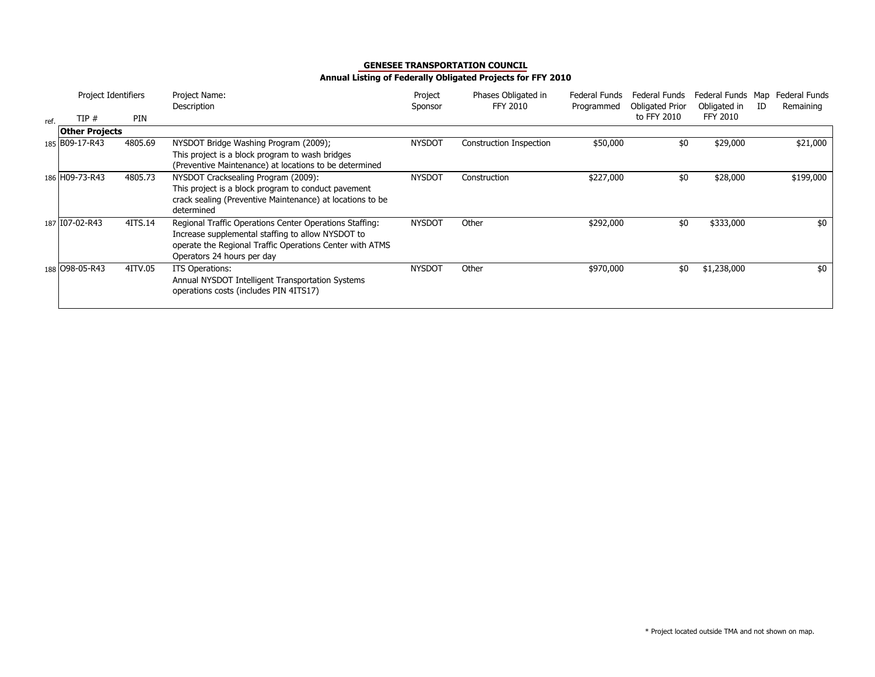|      | Project Identifiers   |            | Project Name:<br>Description                                                                                                                                                                           | Project<br>Sponsor | Phases Obligated in<br><b>FFY 2010</b> | Federal Funds<br>Programmed | Federal Funds<br><b>Obligated Prior</b> | Federal Funds Map<br>Obligated in | ID | Federal Funds<br>Remaining |
|------|-----------------------|------------|--------------------------------------------------------------------------------------------------------------------------------------------------------------------------------------------------------|--------------------|----------------------------------------|-----------------------------|-----------------------------------------|-----------------------------------|----|----------------------------|
| ref. | TIP#                  | <b>PIN</b> |                                                                                                                                                                                                        |                    |                                        |                             | to FFY 2010                             | <b>FFY 2010</b>                   |    |                            |
|      | <b>Other Projects</b> |            |                                                                                                                                                                                                        |                    |                                        |                             |                                         |                                   |    |                            |
|      | 185 B09-17-R43        | 4805.69    | NYSDOT Bridge Washing Program (2009);<br>This project is a block program to wash bridges<br>(Preventive Maintenance) at locations to be determined                                                     | <b>NYSDOT</b>      | Construction Inspection                | \$50,000                    | \$0                                     | \$29,000                          |    | \$21,000                   |
|      | 186 H09-73-R43        | 4805.73    | NYSDOT Cracksealing Program (2009):<br>This project is a block program to conduct pavement<br>crack sealing (Preventive Maintenance) at locations to be<br>determined                                  | <b>NYSDOT</b>      | Construction                           | \$227,000                   | \$0                                     | \$28,000                          |    | \$199,000                  |
|      | 187 I07-02-R43        | 4ITS.14    | Regional Traffic Operations Center Operations Staffing:<br>Increase supplemental staffing to allow NYSDOT to<br>operate the Regional Traffic Operations Center with ATMS<br>Operators 24 hours per day | <b>NYSDOT</b>      | Other                                  | \$292,000                   | \$0                                     | \$333,000                         |    | \$0                        |
|      | 188 098-05-R43        | 4ITV.05    | ITS Operations:<br>Annual NYSDOT Intelligent Transportation Systems<br>operations costs (includes PIN 4ITS17)                                                                                          | <b>NYSDOT</b>      | Other                                  | \$970,000                   | \$0                                     | \$1,238,000                       |    | \$0                        |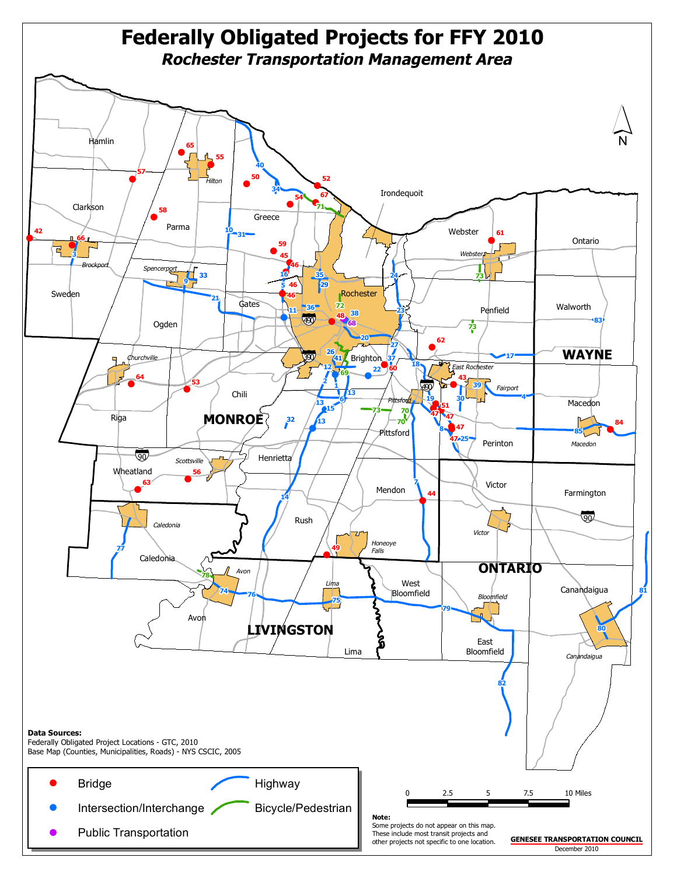